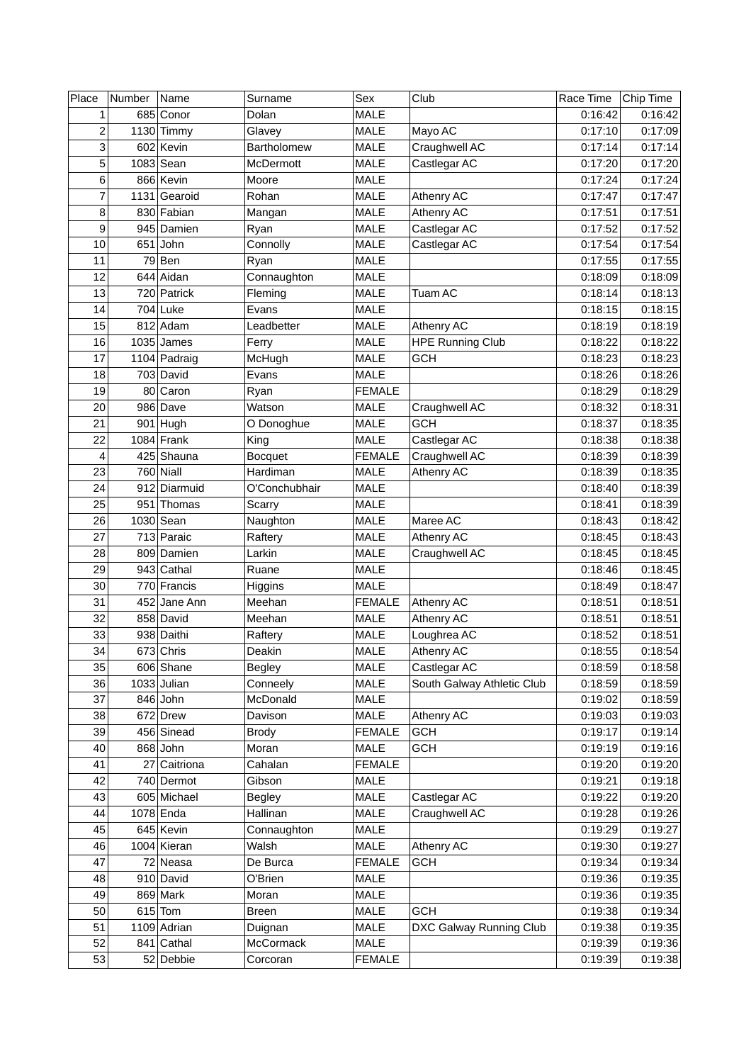| Place                   | Number | Name                          | Surname              | Sex                 | Club                       | Race Time          | Chip Time          |
|-------------------------|--------|-------------------------------|----------------------|---------------------|----------------------------|--------------------|--------------------|
| 1                       |        | 685 Conor                     | Dolan                | <b>MALE</b>         |                            | 0:16:42            | 0:16:42            |
| $\overline{\mathbf{c}}$ |        | $1130$ Timmy                  | Glavey               | <b>MALE</b>         | Mayo AC                    | 0:17:10            | 0:17:09            |
| 3                       |        | 602 Kevin                     | Bartholomew          | MALE                | Craughwell AC              | 0:17:14            | 0:17:14            |
| 5                       |        | $1083$ Sean                   | McDermott            | <b>MALE</b>         | Castlegar AC               | 0:17:20            | 0:17:20            |
| 6                       |        | 866 Kevin                     | Moore                | MALE                |                            | 0:17:24            | 0:17:24            |
| $\overline{7}$          |        | 1131 Gearoid                  | Rohan                | <b>MALE</b>         | Athenry AC                 | 0:17:47            | 0:17:47            |
| 8                       |        | 830 Fabian                    | Mangan               | <b>MALE</b>         | Athenry AC                 | 0:17:51            | 0:17:51            |
| 9                       |        | 945 Damien                    | Ryan                 | <b>MALE</b>         | Castlegar AC               | 0:17:52            | 0:17:52            |
| 10                      |        | $651$ John                    | Connolly             | <b>MALE</b>         | Castlegar AC               | 0:17:54            | 0:17:54            |
| 11                      |        | $79$ Ben                      | Ryan                 | <b>MALE</b>         |                            | 0:17:55            | 0:17:55            |
| 12                      |        | 644 Aidan                     | Connaughton          | <b>MALE</b>         |                            | 0:18:09            | 0:18:09            |
| 13                      |        | 720 Patrick                   | Fleming              | <b>MALE</b>         | Tuam AC                    | 0:18:14            | 0:18:13            |
| 14                      |        | $704$ Luke                    | Evans                | <b>MALE</b>         |                            | 0:18:15            | 0:18:15            |
| 15                      |        | $812$ Adam                    | Leadbetter           | <b>MALE</b>         | Athenry AC                 | 0:18:19            | 0:18:19            |
| 16                      |        | $1035$ James                  | Ferry                | <b>MALE</b>         | <b>HPE Running Club</b>    | 0:18:22            | 0:18:22            |
| 17                      |        | $1104$ Padraig                | McHugh               | MALE                | <b>GCH</b>                 | 0:18:23            | 0:18:23            |
| 18                      |        | 703 David                     | Evans                | MALE                |                            | 0:18:26            | 0:18:26            |
| 19                      |        | 80 Caron                      | Ryan                 | <b>FEMALE</b>       |                            | 0:18:29            | 0:18:29            |
| 20                      |        | $986$ Dave                    | Watson               | <b>MALE</b>         | Craughwell AC              | 0:18:32            | 0:18:31            |
| 21                      |        | $901$ Hugh                    | O Donoghue           | <b>MALE</b>         | <b>GCH</b>                 | 0:18:37            | 0:18:35            |
| 22                      |        | $1084$ Frank                  | King                 | <b>MALE</b>         | Castlegar AC               | 0:18:38            | 0:18:38            |
| 4                       |        | 425 Shauna                    | <b>Bocquet</b>       | <b>FEMALE</b>       | Craughwell AC              | 0:18:39            | 0:18:39            |
| 23                      |        | $760$ Niall                   | Hardiman             | <b>MALE</b>         | Athenry AC                 | 0:18:39            | 0:18:35            |
| 24                      |        | 912 Diarmuid                  | O'Conchubhair        | <b>MALE</b>         |                            | 0:18:40            | 0:18:39            |
| 25                      |        | 951 Thomas                    | Scarry               | MALE                |                            | 0:18:41            | 0:18:39            |
| 26                      |        | $1030$ Sean                   | Naughton             | <b>MALE</b>         | Maree AC                   | 0:18:43            | 0:18:42            |
| 27                      |        | 713 Paraic                    | Raftery              | <b>MALE</b>         | Athenry AC                 | 0:18:45            | 0:18:43            |
| 28                      |        | 809 Damien                    | Larkin               | <b>MALE</b>         | Craughwell AC              | 0:18:45            | 0:18:45            |
| 29                      |        | $943$ Cathal                  | Ruane                | <b>MALE</b>         |                            | 0:18:46            | 0:18:45            |
| 30                      |        | 770 Francis                   | Higgins              | <b>MALE</b>         |                            | 0:18:49            | 0:18:47            |
| 31                      |        | 452 Jane Ann                  | Meehan               | <b>FEMALE</b>       | <b>Athenry AC</b>          | 0:18:51            | 0:18:51            |
| 32                      |        | 858 David                     | Meehan               | <b>MALE</b>         | Athenry AC                 | 0:18:51            | 0:18:51            |
| 33                      |        | 938 Daithi                    | Raftery              | <b>MALE</b>         | Loughrea AC                | 0:18:52            | 0:18:51            |
| 34                      |        | 673 Chris                     | Deakin               | <b>MALE</b>         | Athenry AC                 | 0:18:55            | 0:18:54            |
| 35                      |        | $606$ Shane                   | <b>Begley</b>        | MALE                | Castlegar AC               | 0:18:59            | 0:18:58            |
| 36                      |        | $1033$ Julian                 | Conneely             | <b>MALE</b>         | South Galway Athletic Club | 0:18:59            | 0:18:59            |
| 37                      |        | $846$ John                    | McDonald             | <b>MALE</b>         |                            | 0:19:02            | 0:18:59            |
| 38                      |        | $672$ Drew                    | Davison              | MALE                | Athenry AC                 | 0:19:03            | 0:19:03            |
| 39                      |        | 456 Sinead                    | <b>Brody</b>         | <b>FEMALE</b>       | <b>GCH</b>                 | 0:19:17            | 0:19:14            |
| 40                      |        | $868$ John                    | Moran                | MALE                | <b>GCH</b>                 | 0:19:19            | 0:19:16            |
| 41                      |        | 27 Caitriona                  | Cahalan              | <b>FEMALE</b>       |                            | 0:19:20            | 0:19:20            |
| 42                      |        | 740 Dermot                    | Gibson               | MALE                |                            | 0:19:21            | 0:19:18            |
| 43                      |        | 605 Michael                   | <b>Begley</b>        | <b>MALE</b>         | Castlegar AC               | 0:19:22            | 0:19:20            |
| 44                      |        | $1078$ Enda                   | Hallinan             | <b>MALE</b>         | Craughwell AC              | 0:19:28            | 0:19:26            |
|                         |        |                               |                      |                     |                            |                    |                    |
| 45<br>46                |        | $645$ Kevin<br>$1004$ Kieran  | Connaughton<br>Walsh | MALE<br><b>MALE</b> |                            | 0:19:29<br>0:19:30 | 0:19:27<br>0:19:27 |
| 47                      |        |                               |                      | <b>FEMALE</b>       | Athenry AC<br><b>GCH</b>   | 0:19:34            | 0:19:34            |
|                         |        | 72 Neasa                      | De Burca             |                     |                            |                    |                    |
| 48<br>49                |        | $910$ David<br>$869$ Mark     | O'Brien              | MALE                |                            | 0:19:36            | 0:19:35            |
| 50                      |        | $615$ Tom                     | Moran                | MALE                | <b>GCH</b>                 | 0:19:36            | 0:19:35<br>0:19:34 |
| 51                      |        |                               | <b>Breen</b>         | MALE<br>MALE        | DXC Galway Running Club    | 0:19:38            | 0:19:35            |
| 52                      |        | $1109$ Adrian<br>$841$ Cathal | Duignan<br>McCormack |                     |                            | 0:19:38<br>0:19:39 | 0:19:36            |
|                         |        |                               |                      | MALE                |                            |                    |                    |
| 53                      |        | 52 Debbie                     | Corcoran             | <b>FEMALE</b>       |                            | 0:19:39            | 0:19:38            |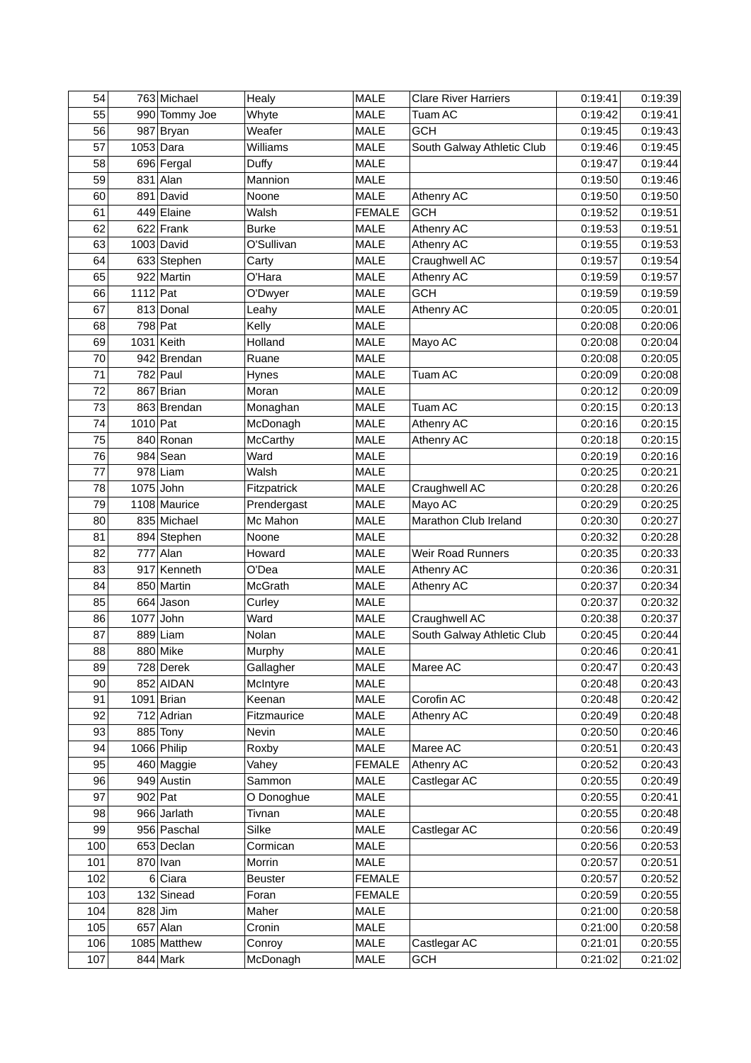| 54  |            | 763 Michael   | Healy           | <b>MALE</b>                | <b>Clare River Harriers</b> | 0:19:41 | 0:19:39 |
|-----|------------|---------------|-----------------|----------------------------|-----------------------------|---------|---------|
| 55  |            | 990 Tommy Joe | Whyte           | <b>MALE</b>                | Tuam AC                     | 0:19:42 | 0:19:41 |
| 56  |            | 987 Bryan     | Weafer          | <b>MALE</b>                | <b>GCH</b>                  | 0:19:45 | 0:19:43 |
| 57  |            | $1053$ Dara   | Williams        | <b>MALE</b>                | South Galway Athletic Club  | 0:19:46 | 0:19:45 |
| 58  |            | 696 Fergal    | Duffy           | <b>MALE</b>                |                             | 0:19:47 | 0:19:44 |
| 59  |            | $831$ Alan    | Mannion         | <b>MALE</b>                |                             | 0:19:50 | 0:19:46 |
| 60  |            | 891 David     | Noone           | <b>MALE</b>                | <b>Athenry AC</b>           | 0:19:50 | 0:19:50 |
| 61  |            | 449 Elaine    | Walsh           | <b>FEMALE</b>              | <b>GCH</b>                  | 0:19:52 | 0:19:51 |
| 62  |            | $622$ Frank   | <b>Burke</b>    | <b>MALE</b>                | Athenry AC                  | 0:19:53 | 0:19:51 |
| 63  |            | $1003$ David  | O'Sullivan      | <b>MALE</b>                | Athenry AC                  | 0:19:55 | 0:19:53 |
| 64  |            | 633 Stephen   | Carty           | <b>MALE</b>                | Craughwell AC               | 0:19:57 | 0:19:54 |
| 65  |            | 922 Martin    | O'Hara          | <b>MALE</b>                | Athenry AC                  | 0:19:59 | 0:19:57 |
| 66  | $1112$ Pat |               | O'Dwyer         | <b>MALE</b>                | <b>GCH</b>                  | 0:19:59 | 0:19:59 |
| 67  |            | 813 Donal     | Leahy           | <b>MALE</b>                | Athenry AC                  | 0:20:05 | 0:20:01 |
| 68  |            | $798$ Pat     | Kelly           | <b>MALE</b>                |                             | 0:20:08 | 0:20:06 |
| 69  |            | $1031$ Keith  | Holland         | <b>MALE</b>                | Mayo AC                     | 0:20:08 | 0:20:04 |
| 70  |            | 942 Brendan   | Ruane           | <b>MALE</b>                |                             | 0:20:08 | 0:20:05 |
| 71  |            | $782$ Paul    | Hynes           | <b>MALE</b>                | Tuam AC                     | 0:20:09 | 0:20:08 |
| 72  |            | 867 Brian     | Moran           | <b>MALE</b>                |                             | 0:20:12 | 0:20:09 |
| 73  |            | 863 Brendan   | Monaghan        | <b>MALE</b>                | Tuam AC                     | 0:20:15 | 0:20:13 |
| 74  | $1010$ Pat |               | McDonagh        | <b>MALE</b>                | Athenry AC                  | 0:20:16 | 0:20:15 |
| 75  |            | 840 Ronan     | <b>McCarthy</b> | <b>MALE</b>                | Athenry AC                  | 0:20:18 | 0:20:15 |
| 76  |            | $984$ Sean    | Ward            | <b>MALE</b>                |                             | 0:20:19 | 0:20:16 |
| 77  |            | $978$ Liam    | Walsh           | <b>MALE</b>                |                             | 0:20:25 | 0:20:21 |
| 78  |            | $1075$ John   | Fitzpatrick     | <b>MALE</b>                | Craughwell AC               | 0:20:28 | 0:20:26 |
| 79  |            | 1108 Maurice  | Prendergast     | <b>MALE</b>                | Mayo AC                     | 0:20:29 | 0:20:25 |
| 80  |            | 835 Michael   | Mc Mahon        | <b>MALE</b>                | Marathon Club Ireland       | 0:20:30 | 0:20:27 |
| 81  |            | 894 Stephen   | Noone           | <b>MALE</b>                |                             | 0:20:32 | 0:20:28 |
| 82  |            | $777$ Alan    | Howard          | <b>MALE</b>                | Weir Road Runners           | 0:20:35 | 0:20:33 |
| 83  |            | 917 Kenneth   | O'Dea           | MALE                       | Athenry AC                  | 0:20:36 | 0:20:31 |
| 84  |            | 850 Martin    | <b>McGrath</b>  | <b>MALE</b>                | Athenry AC                  | 0:20:37 | 0:20:34 |
| 85  |            | $664$ Jason   | Curley          | <b>MALE</b>                |                             | 0:20:37 | 0:20:32 |
| 86  |            | $1077$ John   | Ward            | MALE                       | Craughwell AC               | 0:20:38 | 0:20:37 |
| 87  |            | $889$ Liam    | Nolan           | <b>MALE</b>                | South Galway Athletic Club  | 0:20:45 | 0:20:44 |
| 88  |            | 880 Mike      | Murphy          | <b>MALE</b>                |                             | 0:20:46 | 0:20:41 |
| 89  |            | 728 Derek     | Gallagher       |                            |                             | 0:20:47 | 0:20:43 |
|     |            | 852 AIDAN     |                 | <b>MALE</b>                | Maree AC                    | 0:20:48 |         |
| 90  |            | $1091$ Brian  | McIntyre        | MALE                       |                             |         | 0:20:43 |
| 91  |            |               | Keenan          | <b>MALE</b><br><b>MALE</b> | Corofin AC                  | 0:20:48 | 0:20:42 |
| 92  |            | 712 Adrian    | Fitzmaurice     |                            | Athenry AC                  | 0:20:49 | 0:20:48 |
| 93  |            | $885$ Tony    | Nevin           | MALE                       |                             | 0:20:50 | 0:20:46 |
| 94  |            | 1066 Philip   | Roxby           | MALE                       | Maree AC                    | 0:20:51 | 0:20:43 |
| 95  |            | 460 Maggie    | Vahey           | <b>FEMALE</b>              | Athenry AC                  | 0:20:52 | 0:20:43 |
| 96  |            | 949 Austin    | Sammon          | MALE                       | Castlegar AC                | 0:20:55 | 0:20:49 |
| 97  |            | $902$ Pat     | O Donoghue      | MALE                       |                             | 0:20:55 | 0:20:41 |
| 98  |            | 966 Jarlath   | Tivnan          | MALE                       |                             | 0:20:55 | 0:20:48 |
| 99  |            | 956 Paschal   | Silke           | MALE                       | Castlegar AC                | 0:20:56 | 0:20:49 |
| 100 |            | 653 Declan    | Cormican        | MALE                       |                             | 0:20:56 | 0:20:53 |
| 101 |            | $870$ Ivan    | Morrin          | MALE                       |                             | 0:20:57 | 0:20:51 |
| 102 |            | $6 Ci$ ara    | <b>Beuster</b>  | <b>FEMALE</b>              |                             | 0:20:57 | 0:20:52 |
| 103 |            | 132 Sinead    | Foran           | <b>FEMALE</b>              |                             | 0:20:59 | 0:20:55 |
| 104 |            | $828$ Jim     | Maher           | MALE                       |                             | 0:21:00 | 0:20:58 |
| 105 |            | $657$ Alan    | Cronin          | MALE                       |                             | 0:21:00 | 0:20:58 |
| 106 |            | 1085 Matthew  | Conroy          | MALE                       | Castlegar AC                | 0:21:01 | 0:20:55 |
| 107 |            | $844$ Mark    | McDonagh        | MALE                       | <b>GCH</b>                  | 0:21:02 | 0:21:02 |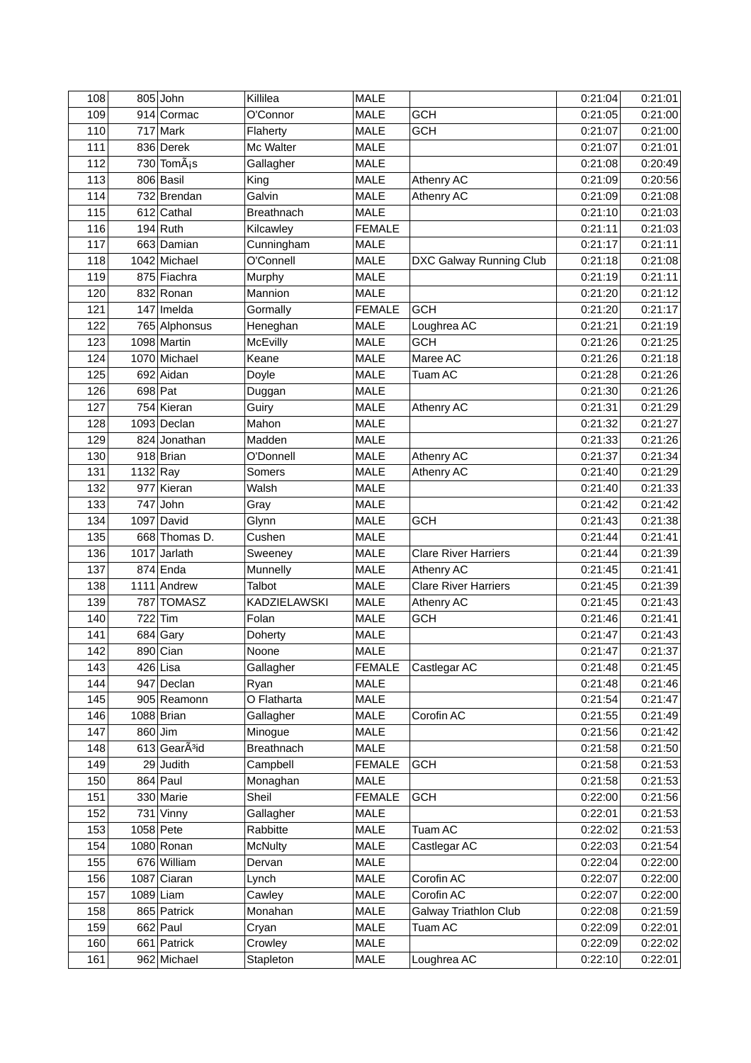| 108 |             | $805$ John                             | Killilea          | <b>MALE</b>   |                             | 0:21:04 | 0:21:01            |
|-----|-------------|----------------------------------------|-------------------|---------------|-----------------------------|---------|--------------------|
| 109 |             | 914 Cormac                             | O'Connor          | <b>MALE</b>   | <b>GCH</b>                  | 0:21:05 | 0:21:00            |
| 110 |             | $717$ Mark                             | Flaherty          | MALE          | <b>GCH</b>                  | 0:21:07 | 0:21:00            |
| 111 |             | 836 Derek                              | Mc Walter         | MALE          |                             | 0:21:07 | 0:21:01            |
| 112 |             | 730 Tom $\tilde{A}_1$ s                | Gallagher         | <b>MALE</b>   |                             | 0:21:08 | 0:20:49            |
| 113 |             | 806 Basil                              | King              | MALE          | Athenry AC                  | 0:21:09 | 0:20:56            |
| 114 |             | 732 Brendan                            | Galvin            | <b>MALE</b>   | Athenry AC                  | 0:21:09 | 0:21:08            |
| 115 |             | 612 Cathal                             | <b>Breathnach</b> | <b>MALE</b>   |                             | 0:21:10 | 0:21:03            |
| 116 |             | $194$ Ruth                             | Kilcawley         | <b>FEMALE</b> |                             | 0:21:11 | 0:21:03            |
| 117 |             | 663 Damian                             | Cunningham        | <b>MALE</b>   |                             | 0:21:17 | 0:21:11            |
| 118 |             | 1042 Michael                           | O'Connell         | <b>MALE</b>   | DXC Galway Running Club     | 0:21:18 | 0:21:08            |
| 119 |             | 875 Fiachra                            | Murphy            | <b>MALE</b>   |                             | 0:21:19 | 0:21:11            |
| 120 |             | 832 Ronan                              | Mannion           | <b>MALE</b>   |                             | 0:21:20 | 0:21:12            |
| 121 |             | $147$  Imelda                          | Gormally          | <b>FEMALE</b> | <b>GCH</b>                  | 0:21:20 | 0:21:17            |
| 122 |             | 765 Alphonsus                          | Heneghan          | <b>MALE</b>   | Loughrea AC                 | 0:21:21 | 0:21:19            |
| 123 |             | 1098 Martin                            | McEvilly          | <b>MALE</b>   | <b>GCH</b>                  | 0:21:26 | 0:21:25            |
| 124 |             | 1070 Michael                           | Keane             | <b>MALE</b>   | Maree AC                    | 0:21:26 | 0:21:18            |
| 125 |             | 692 Aidan                              | Doyle             | MALE          | Tuam AC                     | 0:21:28 | 0:21:26            |
| 126 | $698$ Pat   |                                        | Duggan            | <b>MALE</b>   |                             | 0:21:30 | 0:21:26            |
| 127 |             | 754 Kieran                             | Guiry             | <b>MALE</b>   | Athenry AC                  | 0:21:31 | 0:21:29            |
| 128 |             | $1093$ Declan                          | Mahon             | <b>MALE</b>   |                             | 0:21:32 | 0:21:27            |
| 129 |             | 824 Jonathan                           | Madden            | <b>MALE</b>   |                             | 0:21:33 | 0:21:26            |
| 130 |             | $918$ Brian                            | O'Donnell         | <b>MALE</b>   | Athenry AC                  | 0:21:37 | 0:21:34            |
| 131 | $1132$ Ray  |                                        | Somers            | <b>MALE</b>   | Athenry AC                  | 0:21:40 | 0:21:29            |
| 132 |             | 977 Kieran                             | Walsh             | <b>MALE</b>   |                             | 0:21:40 | 0:21:33            |
| 133 |             | $747$ John                             | Gray              | MALE          |                             | 0:21:42 | 0:21:42            |
| 134 |             | $1097$ David                           | Glynn             | <b>MALE</b>   | <b>GCH</b>                  | 0:21:43 | 0:21:38            |
| 135 |             | 668 Thomas D.                          | Cushen            | MALE          |                             | 0:21:44 | 0:21:41            |
| 136 |             | $1017$ Jarlath                         | Sweeney           | <b>MALE</b>   | <b>Clare River Harriers</b> | 0:21:44 | 0:21:39            |
| 137 |             | $874$ Enda                             | Munnelly          | <b>MALE</b>   | Athenry AC                  | 0:21:45 | 0:21:41            |
| 138 |             | 1111 Andrew                            | Talbot            | MALE          | <b>Clare River Harriers</b> | 0:21:45 | 0:21:39            |
| 139 |             | 787 TOMASZ                             | KADZIELAWSKI      | MALE          | Athenry AC                  | 0:21:45 | 0:21:43            |
| 140 |             | $722$ Tim                              | Folan             | MALE          | <b>GCH</b>                  | 0:21:46 | 0:21:41            |
| 141 |             | $684$ Gary                             | Doherty           | <b>MALE</b>   |                             | 0:21:47 | 0:21:43            |
| 142 |             | $890$ Cian                             | Noone             | <b>MALE</b>   |                             | 0:21:47 | 0:21:37            |
| 143 |             | $426$ Lisa                             | Gallagher         | <b>FEMALE</b> | Castlegar AC                | 0:21:48 | 0:21:45            |
| 144 |             | 947 Declan                             | Ryan              | <b>MALE</b>   |                             | 0:21:48 | 0:21:46            |
| 145 |             | 905 Reamonn                            | O Flatharta       | <b>MALE</b>   |                             | 0:21:54 | 0:21:47            |
| 146 |             | $1088$ Brian                           | Gallagher         | <b>MALE</b>   | Corofin AC                  | 0:21:55 | 0:21:49            |
| 147 |             | $860$ Jim                              | Minogue           | MALE          |                             | 0:21:56 | 0:21:42            |
| 148 |             | $613$ Gear $\tilde{A}$ <sup>3</sup> id | <b>Breathnach</b> | MALE          |                             | 0:21:58 | 0:21:50            |
| 149 |             | $29$ Judith                            | Campbell          | <b>FEMALE</b> | <b>GCH</b>                  | 0:21:58 | 0:21:53            |
| 150 |             | $864$ Paul                             |                   | MALE          |                             | 0:21:58 | 0:21:53            |
| 151 |             | 330 Marie                              | Monaghan<br>Sheil | <b>FEMALE</b> | <b>GCH</b>                  | 0:22:00 | 0:21:56            |
| 152 |             | $731$ Vinny                            | Gallagher         | MALE          |                             | 0:22:01 | 0:21:53            |
|     |             |                                        |                   |               |                             |         |                    |
| 153 | $1058$ Pete |                                        | Rabbitte          | MALE          | Tuam AC                     | 0:22:02 | 0:21:53<br>0:21:54 |
| 154 |             | $1080$ Ronan                           | <b>McNulty</b>    | MALE          | Castlegar AC                | 0:22:03 |                    |
| 155 |             | 676 William                            | Dervan            | MALE          |                             | 0:22:04 | 0:22:00            |
| 156 |             | $1087$ Ciaran                          | Lynch             | MALE          | Corofin AC                  | 0:22:07 | 0:22:00            |
| 157 |             | $1089$ Liam                            | Cawley            | MALE          | Corofin AC                  | 0:22:07 | 0:22:00            |
| 158 |             | 865 Patrick                            | Monahan           | <b>MALE</b>   | Galway Triathlon Club       | 0:22:08 | 0:21:59            |
| 159 |             | $662$ Paul                             | Cryan             | MALE          | Tuam AC                     | 0:22:09 | 0:22:01            |
| 160 |             | 661 Patrick                            | Crowley           | MALE          |                             | 0:22:09 | 0:22:02            |
| 161 |             | 962 Michael                            | Stapleton         | MALE          | Loughrea AC                 | 0:22:10 | 0:22:01            |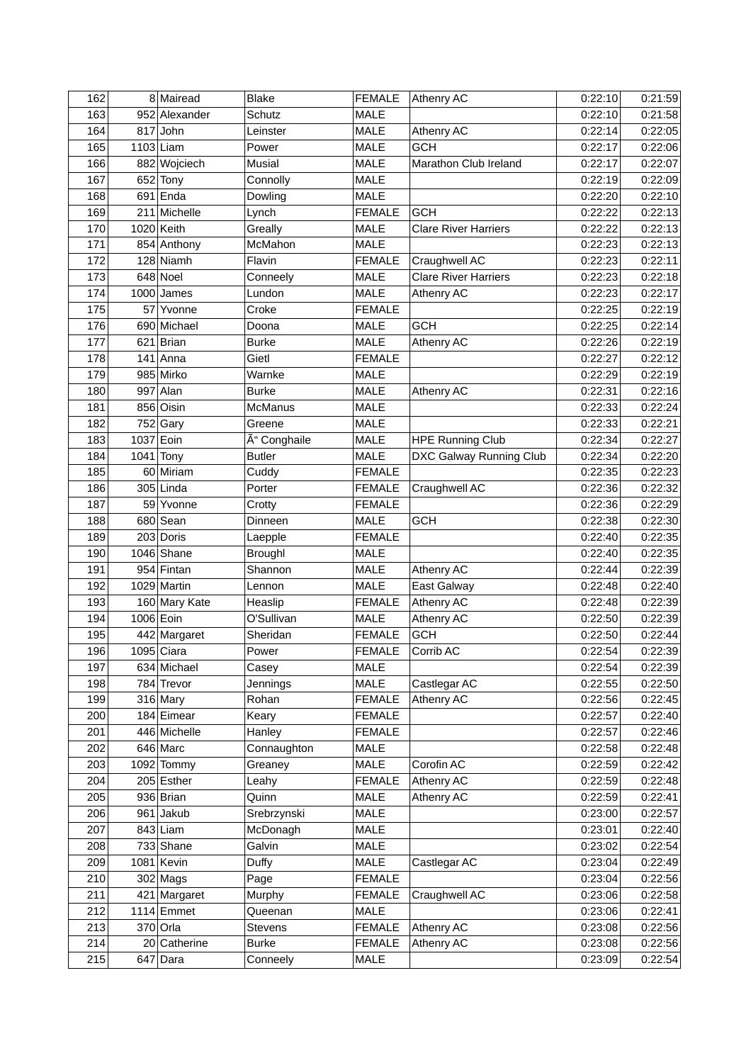| 162 |           | 8 Mairead     | <b>Blake</b>   | <b>FEMALE</b>       | <b>Athenry AC</b>                                  | 0:22:10 | 0:21:59 |
|-----|-----------|---------------|----------------|---------------------|----------------------------------------------------|---------|---------|
| 163 |           | 952 Alexander | Schutz         | <b>MALE</b>         |                                                    | 0:22:10 | 0:21:58 |
| 164 |           | $817$ John    | Leinster       | <b>MALE</b>         | Athenry AC                                         | 0:22:14 | 0:22:05 |
| 165 |           | $1103$ Liam   | Power          | <b>MALE</b>         | <b>GCH</b>                                         | 0:22:17 | 0:22:06 |
| 166 |           | 882 Wojciech  | Musial         | <b>MALE</b>         | Marathon Club Ireland                              | 0:22:17 | 0:22:07 |
| 167 |           | $652$ Tony    | Connolly       | <b>MALE</b>         |                                                    | 0:22:19 | 0:22:09 |
| 168 |           | $691$ Enda    | Dowling        | <b>MALE</b>         |                                                    | 0:22:20 | 0:22:10 |
| 169 |           | 211 Michelle  | Lynch          | <b>FEMALE</b>       | <b>GCH</b>                                         | 0:22:22 | 0:22:13 |
| 170 |           | $1020$ Keith  | Greally        | MALE                | <b>Clare River Harriers</b>                        | 0:22:22 | 0:22:13 |
| 171 |           | 854 Anthony   | McMahon        | MALE                |                                                    | 0:22:23 | 0:22:13 |
| 172 |           | $128$ Niamh   | Flavin         | <b>FEMALE</b>       | Craughwell AC                                      | 0:22:23 | 0:22:11 |
| 173 |           | $648$ Noel    | Conneely       | <b>MALE</b>         | <b>Clare River Harriers</b>                        | 0:22:23 | 0:22:18 |
| 174 |           | $1000$ James  | Lundon         | <b>MALE</b>         | Athenry AC                                         | 0:22:23 | 0:22:17 |
| 175 |           | 57 Yvonne     | Croke          | <b>FEMALE</b>       |                                                    | 0:22:25 | 0:22:19 |
| 176 |           | 690 Michael   | Doona          | <b>MALE</b>         | <b>GCH</b>                                         | 0:22:25 | 0:22:14 |
| 177 |           | 621 Brian     | <b>Burke</b>   | <b>MALE</b>         | Athenry AC                                         | 0:22:26 | 0:22:19 |
| 178 |           | $141$ Anna    | Gietl          | <b>FEMALE</b>       |                                                    | 0:22:27 | 0:22:12 |
| 179 |           | 985 Mirko     | Warnke         | <b>MALE</b>         |                                                    | 0:22:29 | 0:22:19 |
| 180 |           | $997$ Alan    | <b>Burke</b>   | <b>MALE</b>         | Athenry AC                                         | 0:22:31 | 0:22:16 |
| 181 |           | 856 Oisin     | <b>McManus</b> | MALE                |                                                    | 0:22:33 | 0:22:24 |
| 182 |           | $752$ Gary    | Greene         | MALE                |                                                    | 0:22:33 | 0:22:21 |
| 183 | 1037 Eoin |               | Ó Conghaile    |                     |                                                    | 0:22:34 | 0:22:27 |
| 184 |           | $1041$ Tony   | <b>Butler</b>  | MALE<br><b>MALE</b> | <b>HPE Running Club</b><br>DXC Galway Running Club |         | 0:22:20 |
| 185 |           | 60 Miriam     |                | <b>FEMALE</b>       |                                                    | 0:22:34 | 0:22:23 |
|     |           |               | Cuddy          |                     |                                                    | 0:22:35 |         |
| 186 |           | $305$ Linda   | Porter         | <b>FEMALE</b>       | Craughwell AC                                      | 0:22:36 | 0:22:32 |
| 187 |           | 59 Yvonne     | Crotty         | <b>FEMALE</b>       |                                                    | 0:22:36 | 0:22:29 |
| 188 |           | 680 Sean      | Dinneen        | MALE                | <b>GCH</b>                                         | 0:22:38 | 0:22:30 |
| 189 |           | 203 Doris     | Laepple        | <b>FEMALE</b>       |                                                    | 0:22:40 | 0:22:35 |
| 190 |           | $1046$ Shane  | Broughl        | <b>MALE</b>         |                                                    | 0:22:40 | 0:22:35 |
| 191 |           | $954$ Fintan  | Shannon        | MALE                | Athenry AC                                         | 0:22:44 | 0:22:39 |
| 192 |           | 1029 Martin   | Lennon         | <b>MALE</b>         | East Galway                                        | 0:22:48 | 0:22:40 |
| 193 |           | 160 Mary Kate | Heaslip        | <b>FEMALE</b>       | Athenry AC                                         | 0:22:48 | 0:22:39 |
| 194 | 1006 Eoin |               | O'Sullivan     | MALE                | Athenry AC                                         | 0:22:50 | 0:22:39 |
| 195 |           | 442 Margaret  | Sheridan       | <b>FEMALE</b>       | <b>GCH</b>                                         | 0:22:50 | 0:22:44 |
| 196 |           | $1095$ Ciara  | Power          | <b>FEMALE</b>       | Corrib AC                                          | 0:22:54 | 0:22:39 |
| 197 |           | 634 Michael   | Casey          | MALE                |                                                    | 0:22:54 | 0:22:39 |
| 198 |           | 784 Trevor    | Jennings       | <b>MALE</b>         | Castlegar AC                                       | 0:22:55 | 0:22:50 |
| 199 |           | $316$ Mary    | Rohan          | <b>FEMALE</b>       | Athenry AC                                         | 0:22:56 | 0:22:45 |
| 200 |           | 184 Eimear    | Keary          | <b>FEMALE</b>       |                                                    | 0:22:57 | 0:22:40 |
| 201 |           | 446 Michelle  | Hanley         | <b>FEMALE</b>       |                                                    | 0:22:57 | 0:22:46 |
| 202 |           | $646$ Marc    | Connaughton    | MALE                |                                                    | 0:22:58 | 0:22:48 |
| 203 |           | $1092$ Tommy  | Greaney        | MALE                | Corofin AC                                         | 0:22:59 | 0:22:42 |
| 204 |           | $205$ Esther  | Leahy          | <b>FEMALE</b>       | Athenry AC                                         | 0:22:59 | 0:22:48 |
| 205 |           | $936$ Brian   | Quinn          | MALE                | Athenry AC                                         | 0:22:59 | 0:22:41 |
| 206 |           | 961 Jakub     | Srebrzynski    | MALE                |                                                    | 0:23:00 | 0:22:57 |
| 207 |           | $843$ Liam    | McDonagh       | MALE                |                                                    | 0:23:01 | 0:22:40 |
| 208 |           | $733$ Shane   | Galvin         | MALE                |                                                    | 0:23:02 | 0:22:54 |
| 209 |           | $1081$ Kevin  | Duffy          | MALE                | Castlegar AC                                       | 0:23:04 | 0:22:49 |
| 210 |           | $302$ Mags    | Page           | <b>FEMALE</b>       |                                                    | 0:23:04 | 0:22:56 |
| 211 |           | 421 Margaret  | Murphy         | <b>FEMALE</b>       | Craughwell AC                                      | 0:23:06 | 0:22:58 |
| 212 |           | $1114$ Emmet  | Queenan        | MALE                |                                                    | 0:23:06 | 0:22:41 |
| 213 |           | $370$ Orla    | <b>Stevens</b> | <b>FEMALE</b>       | Athenry AC                                         | 0:23:08 | 0:22:56 |
| 214 |           | 20 Catherine  | <b>Burke</b>   | <b>FEMALE</b>       | Athenry AC                                         | 0:23:08 | 0:22:56 |
| 215 |           | $647$ Dara    | Conneely       | MALE                |                                                    | 0:23:09 | 0:22:54 |
|     |           |               |                |                     |                                                    |         |         |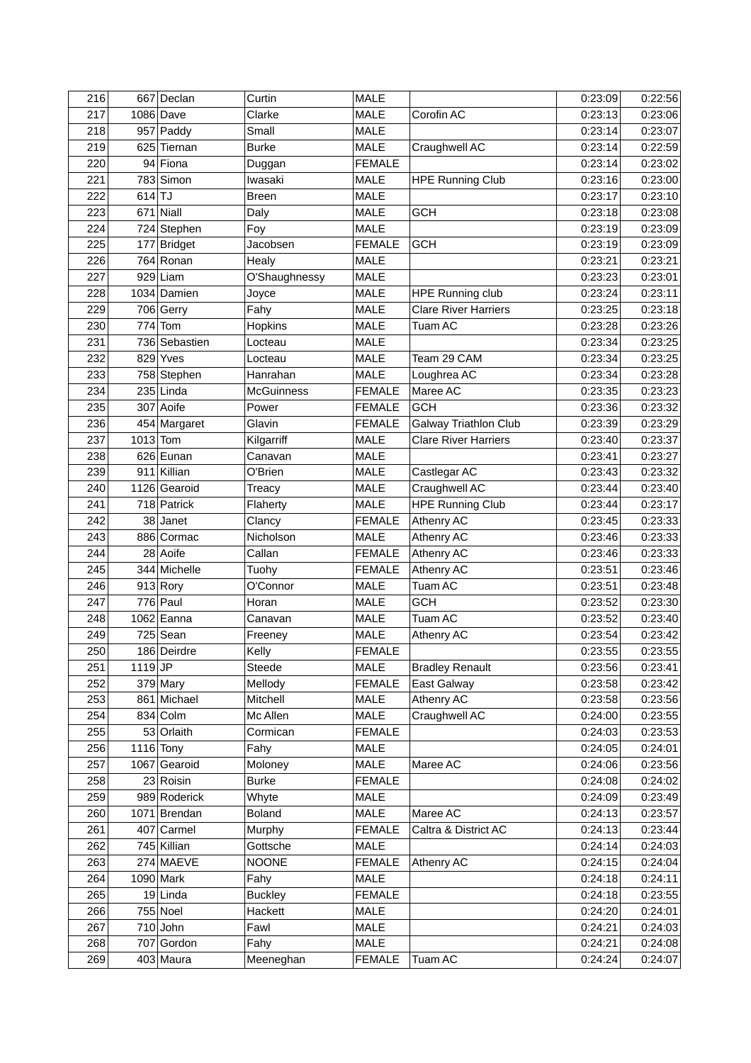| 216        |            | 667 Declan             | Curtin            | <b>MALE</b>   |                              | 0:23:09 | 0:22:56            |
|------------|------------|------------------------|-------------------|---------------|------------------------------|---------|--------------------|
| 217        |            | 1086 Dave              | Clarke            | <b>MALE</b>   | Corofin AC                   | 0:23:13 | 0:23:06            |
| 218        |            | $957$ Paddy            | Small             | <b>MALE</b>   |                              | 0:23:14 | 0:23:07            |
| 219        |            | 625 Tiernan            | <b>Burke</b>      | <b>MALE</b>   | Craughwell AC                | 0:23:14 | 0:22:59            |
| 220        |            | $94$ Fiona             | Duggan            | <b>FEMALE</b> |                              | 0:23:14 | 0:23:02            |
| 221        |            | 783 Simon              | Iwasaki           | <b>MALE</b>   | <b>HPE Running Club</b>      | 0:23:16 | 0:23:00            |
| 222        | $614$ TJ   |                        | <b>Breen</b>      | <b>MALE</b>   |                              | 0:23:17 | 0:23:10            |
| 223        |            | $671$ Niall            | Daly              | <b>MALE</b>   | <b>GCH</b>                   | 0:23:18 | 0:23:08            |
| 224        |            | 724 Stephen            | Foy               | MALE          |                              | 0:23:19 | 0:23:09            |
| 225        |            | 177 Bridget            | Jacobsen          | <b>FEMALE</b> | <b>GCH</b>                   | 0:23:19 | 0:23:09            |
| 226        |            | 764 Ronan              | Healy             | <b>MALE</b>   |                              | 0:23:21 | 0:23:21            |
| 227        |            | $929$ Liam             | O'Shaughnessy     | <b>MALE</b>   |                              | 0:23:23 | 0:23:01            |
| 228        |            | 1034 Damien            | Joyce             | MALE          | <b>HPE Running club</b>      | 0:23:24 | 0:23:11            |
| 229        |            | 706 Gerry              | Fahy              | <b>MALE</b>   | <b>Clare River Harriers</b>  | 0:23:25 | 0:23:18            |
| 230        |            | $774$ Tom              | Hopkins           | <b>MALE</b>   | Tuam AC                      | 0:23:28 | 0:23:26            |
| 231        |            | 736 Sebastien          | Locteau           | <b>MALE</b>   |                              | 0:23:34 | 0:23:25            |
| 232        |            | 829 Yves               | Locteau           | <b>MALE</b>   | Team 29 CAM                  | 0:23:34 | 0:23:25            |
| 233        |            | 758 Stephen            | Hanrahan          | MALE          | Loughrea AC                  | 0:23:34 | 0:23:28            |
| 234        |            | $235$ Linda            | <b>McGuinness</b> | <b>FEMALE</b> | Maree AC                     | 0:23:35 | 0:23:23            |
| 235        |            | 307 Aoife              | Power             | <b>FEMALE</b> | <b>GCH</b>                   | 0:23:36 | 0:23:32            |
| 236        |            | 454 Margaret           | Glavin            | <b>FEMALE</b> | <b>Galway Triathlon Club</b> | 0:23:39 | 0:23:29            |
| 237        | $1013$ Tom |                        | Kilgarriff        | <b>MALE</b>   | <b>Clare River Harriers</b>  | 0:23:40 | 0:23:37            |
| 238        |            | 626 Eunan              | Canavan           | MALE          |                              | 0:23:41 | 0:23:27            |
| 239        |            | 911 Killian            | O'Brien           | <b>MALE</b>   | Castlegar AC                 | 0:23:43 | 0:23:32            |
| 240        |            | 1126 Gearoid           | Treacy            | <b>MALE</b>   | Craughwell AC                | 0:23:44 | 0:23:40            |
| 241        |            | 718 Patrick            | Flaherty          | <b>MALE</b>   | <b>HPE Running Club</b>      | 0:23:44 | 0:23:17            |
| 242        |            | 38 Janet               | Clancy            | <b>FEMALE</b> | Athenry AC                   | 0:23:45 | 0:23:33            |
| 243        |            | 886 Cormac             | Nicholson         | MALE          | Athenry AC                   | 0:23:46 | 0:23:33            |
| 244        |            | 28 Aoife               | Callan            | <b>FEMALE</b> | Athenry AC                   | 0:23:46 | 0:23:33            |
| 245        |            | 344 Michelle           |                   | <b>FEMALE</b> | Athenry AC                   | 0:23:51 | 0:23:46            |
|            |            |                        | Tuohy             |               | Tuam AC                      |         |                    |
| 246<br>247 |            | $913$ Rory<br>776 Paul | O'Connor          | <b>MALE</b>   | <b>GCH</b>                   | 0:23:51 | 0:23:48<br>0:23:30 |
|            |            |                        | Horan             | MALE          | Tuam AC                      | 0:23:52 |                    |
| 248        |            | $1062$ Eanna           | Canavan           | <b>MALE</b>   |                              | 0:23:52 | 0:23:40            |
| 249        |            | $725$ Sean             | Freeney           | <b>MALE</b>   | Athenry AC                   | 0:23:54 | 0:23:42            |
| 250        |            | 186 Deirdre            | Kelly             | <b>FEMALE</b> |                              | 0:23:55 | 0:23:55            |
| 251        | $1119$ JP  |                        | Steede            | MALE          | <b>Bradley Renault</b>       | 0:23:56 | 0:23:41            |
| 252        |            | $379$ Mary             | Mellody           | <b>FEMALE</b> | East Galway                  | 0:23:58 | 0:23:42            |
| 253        |            | 861 Michael            | Mitchell          | MALE          | Athenry AC                   | 0:23:58 | 0:23:56            |
| 254        |            | $834$ Colm             | Mc Allen          | MALE          | Craughwell AC                | 0:24:00 | 0:23:55            |
| 255        |            | 53 Orlaith             | Cormican          | <b>FEMALE</b> |                              | 0:24:03 | 0:23:53            |
| 256        |            | $1116$ Tony            | Fahy              | MALE          |                              | 0:24:05 | 0:24:01            |
| 257        |            | 1067 Gearoid           | Moloney           | <b>MALE</b>   | Maree AC                     | 0:24:06 | 0:23:56            |
| 258        |            | 23 Roisin              | <b>Burke</b>      | <b>FEMALE</b> |                              | 0:24:08 | 0:24:02            |
| 259        |            | 989 Roderick           | Whyte             | <b>MALE</b>   |                              | 0:24:09 | 0:23:49            |
| 260        |            | $1071$ Brendan         | <b>Boland</b>     | MALE          | Maree AC                     | 0:24:13 | 0:23:57            |
| 261        |            | $407$ Carmel           | Murphy            | <b>FEMALE</b> | Caltra & District AC         | 0:24:13 | 0:23:44            |
| 262        |            | 745 Killian            | Gottsche          | <b>MALE</b>   |                              | 0:24:14 | 0:24:03            |
| 263        |            | 274 MAEVE              | <b>NOONE</b>      | <b>FEMALE</b> | Athenry AC                   | 0:24:15 | 0:24:04            |
| 264        |            | $1090$ Mark            | Fahy              | MALE          |                              | 0:24:18 | 0:24:11            |
| 265        |            | $19$ Linda             | <b>Buckley</b>    | <b>FEMALE</b> |                              | 0:24:18 | 0:23:55            |
| 266        |            | 755 Noel               | Hackett           | MALE          |                              | 0:24:20 | 0:24:01            |
| 267        |            | $710$ John             | Fawl              | MALE          |                              | 0:24:21 | 0:24:03            |
| 268        |            | 707 Gordon             | Fahy              | MALE          |                              | 0:24:21 | 0:24:08            |
| 269        |            | $403$ Maura            | Meeneghan         | FEMALE        | Tuam AC                      | 0:24:24 | 0:24:07            |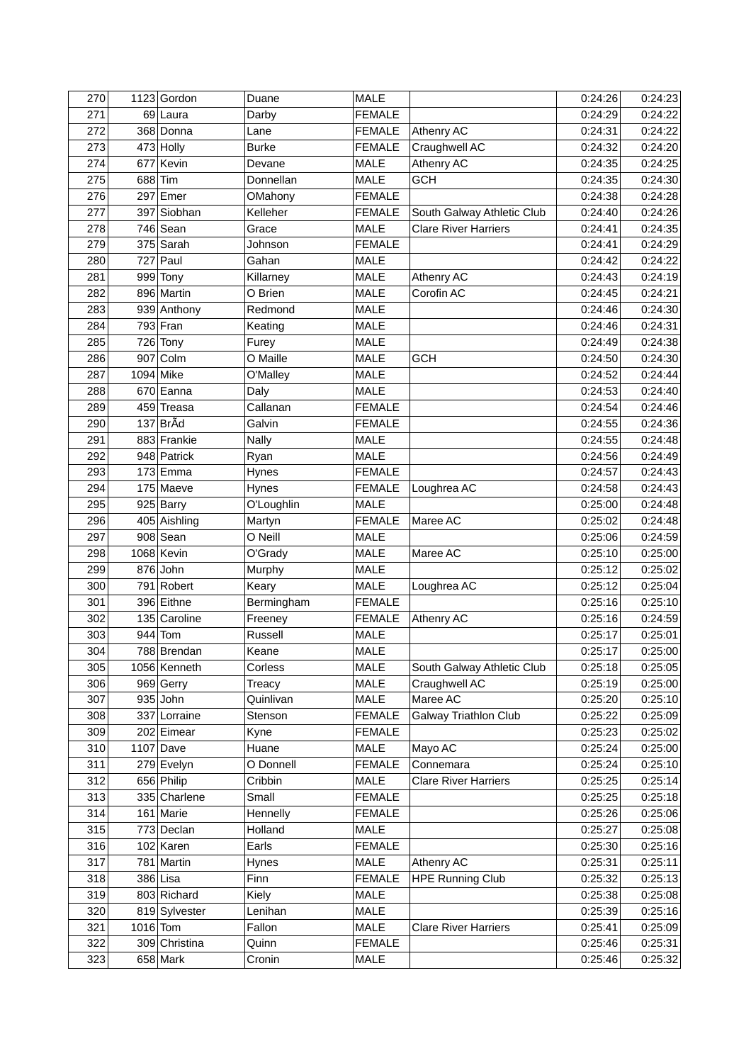| 270        |            | 1123 Gordon               | Duane        | <b>MALE</b>   |                             | 0:24:26 | 0:24:23 |
|------------|------------|---------------------------|--------------|---------------|-----------------------------|---------|---------|
| 271        |            | 69 Laura                  | Darby        | <b>FEMALE</b> |                             | 0:24:29 | 0:24:22 |
| 272        |            | 368 Donna                 | Lane         | <b>FEMALE</b> | Athenry AC                  | 0:24:31 | 0:24:22 |
| 273        |            | $473$ Holly               | <b>Burke</b> | <b>FEMALE</b> | Craughwell AC               | 0:24:32 | 0:24:20 |
| 274        |            | $677$ Kevin               | Devane       | MALE          | Athenry AC                  | 0:24:35 | 0:24:25 |
| 275        |            | $688$ Tim                 | Donnellan    | MALE          | <b>GCH</b>                  | 0:24:35 | 0:24:30 |
| 276        |            | $297$ Emer                | OMahony      | <b>FEMALE</b> |                             | 0:24:38 | 0:24:28 |
| 277        |            | 397 Siobhan               | Kelleher     | <b>FEMALE</b> | South Galway Athletic Club  | 0:24:40 | 0:24:26 |
| 278        |            | $746$ Sean                | Grace        | <b>MALE</b>   | <b>Clare River Harriers</b> | 0:24:41 | 0:24:35 |
| 279        |            | 375 Sarah                 | Johnson      | <b>FEMALE</b> |                             | 0:24:41 | 0:24:29 |
| 280        |            | $727$ Paul                | Gahan        | <b>MALE</b>   |                             | 0:24:42 | 0:24:22 |
| 281        |            | $999$ Tony                | Killarney    | <b>MALE</b>   | Athenry AC                  | 0:24:43 | 0:24:19 |
| 282        |            | 896 Martin                | O Brien      | <b>MALE</b>   | Corofin AC                  | 0:24:45 | 0:24:21 |
| 283        |            | 939 Anthony               | Redmond      | <b>MALE</b>   |                             | 0:24:46 | 0:24:30 |
| 284        |            | $793$ Fran                | Keating      | <b>MALE</b>   |                             | 0:24:46 | 0:24:31 |
| 285        |            | $726$ Tony                | Furey        | <b>MALE</b>   |                             | 0:24:49 | 0:24:38 |
| 286        |            | $907$ Colm                | O Maille     | <b>MALE</b>   | <b>GCH</b>                  | 0:24:50 | 0:24:30 |
| 287        |            | $1094$ Mike               | O'Malley     | MALE          |                             | 0:24:52 | 0:24:44 |
| 288        |            | 670 Eanna                 | Daly         | <b>MALE</b>   |                             | 0:24:53 | 0:24:40 |
| 289        |            | 459 Treasa                | Callanan     | <b>FEMALE</b> |                             | 0:24:54 | 0:24:46 |
| 290        |            | $137$ Br $\tilde{A}$ d    | Galvin       | <b>FEMALE</b> |                             | 0:24:55 | 0:24:36 |
| 291        |            | 883 Frankie               | Nally        | <b>MALE</b>   |                             | 0:24:55 | 0:24:48 |
| 292        |            | 948 Patrick               | Ryan         | <b>MALE</b>   |                             | 0:24:56 | 0:24:49 |
| 293        |            | $173$ Emma                | Hynes        | <b>FEMALE</b> |                             | 0:24:57 | 0:24:43 |
| 294        |            | 175 Maeve                 | Hynes        | <b>FEMALE</b> | Loughrea AC                 | 0:24:58 | 0:24:43 |
| 295        |            | 925 Barry                 | O'Loughlin   | <b>MALE</b>   |                             | 0:25:00 | 0:24:48 |
| 296        |            | 405 Aishling              | Martyn       | <b>FEMALE</b> | Maree AC                    | 0:25:02 | 0:24:48 |
| 297        |            | $908$ Sean                | O Neill      | <b>MALE</b>   |                             | 0:25:06 | 0:24:59 |
| 298        |            | $1068$ Kevin              | O'Grady      | <b>MALE</b>   | Maree AC                    | 0:25:10 | 0:25:00 |
| 299        |            | $876$ John                | Murphy       | <b>MALE</b>   |                             | 0:25:12 | 0:25:02 |
| 300        |            | 791 Robert                | Keary        | <b>MALE</b>   | Loughrea AC                 | 0:25:12 | 0:25:04 |
| 301        |            | 396 Eithne                | Bermingham   | <b>FEMALE</b> |                             | 0:25:16 | 0:25:10 |
| 302        |            | 135 Caroline              | Freeney      | <b>FEMALE</b> | <b>Athenry AC</b>           | 0:25:16 | 0:24:59 |
| 303        |            | $944$ Tom                 | Russell      | <b>MALE</b>   |                             | 0:25:17 | 0:25:01 |
| 304        |            | 788 Brendan               | Keane        | <b>MALE</b>   |                             | 0:25:17 | 0:25:00 |
| 305        |            | 1056 Kenneth              | Corless      | <b>MALE</b>   | South Galway Athletic Club  | 0:25:18 | 0:25:05 |
|            |            |                           |              |               | Craughwell AC               |         |         |
| 306<br>307 |            | $969$ Gerry<br>$935$ John | Treacy       | <b>MALE</b>   |                             | 0:25:19 | 0:25:00 |
|            |            |                           | Quinlivan    | <b>MALE</b>   | Maree AC                    | 0:25:20 | 0:25:10 |
| 308        |            | 337 Lorraine              | Stenson      | <b>FEMALE</b> | Galway Triathlon Club       | 0:25:22 | 0:25:09 |
| 309        |            | 202 Eimear                | Kyne         | <b>FEMALE</b> |                             | 0:25:23 | 0:25:02 |
| 310        |            | $1107$ Dave               | Huane        | MALE          | Mayo AC                     | 0:25:24 | 0:25:00 |
| 311        |            | 279 Evelyn                | O Donnell    | <b>FEMALE</b> | Connemara                   | 0:25:24 | 0:25:10 |
| 312        |            | 656 Philip                | Cribbin      | MALE          | <b>Clare River Harriers</b> | 0:25:25 | 0:25:14 |
| 313        |            | 335 Charlene              | Small        | <b>FEMALE</b> |                             | 0:25:25 | 0:25:18 |
| 314        |            | $161$ Marie               | Hennelly     | <b>FEMALE</b> |                             | 0:25:26 | 0:25:06 |
| 315        |            | 773 Declan                | Holland      | MALE          |                             | 0:25:27 | 0:25:08 |
| 316        |            | $102$ Karen               | Earls        | <b>FEMALE</b> |                             | 0:25:30 | 0:25:16 |
| 317        |            | 781 Martin                | Hynes        | MALE          | Athenry AC                  | 0:25:31 | 0:25:11 |
| 318        |            | $386$ Lisa                | Finn         | <b>FEMALE</b> | <b>HPE Running Club</b>     | 0:25:32 | 0:25:13 |
| 319        |            | 803 Richard               | Kiely        | MALE          |                             | 0:25:38 | 0:25:08 |
| 320        |            | 819 Sylvester             | Lenihan      | MALE          |                             | 0:25:39 | 0:25:16 |
| 321        | $1016$ Tom |                           | Fallon       | MALE          | <b>Clare River Harriers</b> | 0:25:41 | 0:25:09 |
| 322        |            | 309 Christina             | Quinn        | <b>FEMALE</b> |                             | 0:25:46 | 0:25:31 |
| 323        |            | $658$ Mark                | Cronin       | MALE          |                             | 0:25:46 | 0:25:32 |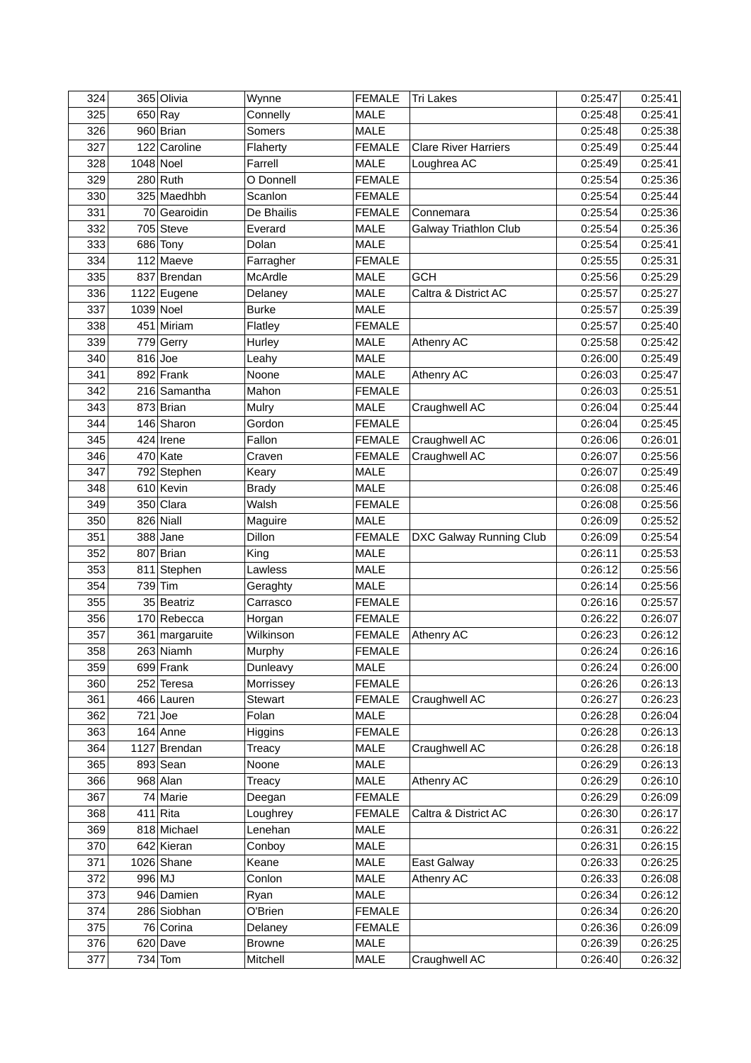| 324 |             | 365 Olivia     | Wynne         | <b>FEMALE</b> | <b>Tri Lakes</b>             | 0:25:47            | 0:25:41 |
|-----|-------------|----------------|---------------|---------------|------------------------------|--------------------|---------|
| 325 |             | $650$ Ray      | Connelly      | <b>MALE</b>   |                              | 0:25:48            | 0:25:41 |
| 326 |             | 960 Brian      | Somers        | <b>MALE</b>   |                              | 0:25:48            | 0:25:38 |
| 327 |             | 122 Caroline   | Flaherty      | <b>FEMALE</b> | <b>Clare River Harriers</b>  | 0:25:49            | 0:25:44 |
| 328 | $1048$ Noel |                | Farrell       | <b>MALE</b>   | Loughrea AC                  | 0:25:49            | 0:25:41 |
| 329 |             | $280$ Ruth     | O Donnell     | <b>FEMALE</b> |                              | 0:25:54            | 0:25:36 |
| 330 |             | 325 Maedhbh    | Scanlon       | <b>FEMALE</b> |                              | 0:25:54            | 0:25:44 |
| 331 |             | 70 Gearoidin   | De Bhailis    | <b>FEMALE</b> | Connemara                    | 0:25:54            | 0:25:36 |
| 332 |             | $705$ Steve    | Everard       | <b>MALE</b>   | <b>Galway Triathlon Club</b> | 0:25:54            | 0:25:36 |
| 333 |             | 686 Tony       | Dolan         | MALE          |                              | 0:25:54            | 0:25:41 |
| 334 |             | $112$ Maeve    | Farragher     | <b>FEMALE</b> |                              | 0:25:55            | 0:25:31 |
| 335 |             | 837 Brendan    | McArdle       | <b>MALE</b>   | <b>GCH</b>                   | 0:25:56            | 0:25:29 |
| 336 |             | 1122 Eugene    | Delaney       | <b>MALE</b>   | Caltra & District AC         | 0:25:57            | 0:25:27 |
| 337 | 1039 Noel   |                | <b>Burke</b>  | <b>MALE</b>   |                              | 0:25:57            | 0:25:39 |
| 338 |             | 451 Miriam     | Flatley       | <b>FEMALE</b> |                              | 0:25:57            | 0:25:40 |
| 339 |             | 779 Gerry      | Hurley        | <b>MALE</b>   | Athenry AC                   | 0:25:58            | 0:25:42 |
| 340 | $816$ Joe   |                | Leahy         | MALE          |                              | 0:26:00            | 0:25:49 |
| 341 |             | 892 Frank      | Noone         | <b>MALE</b>   | Athenry AC                   | 0:26:03            | 0:25:47 |
| 342 |             | 216 Samantha   | Mahon         | <b>FEMALE</b> |                              | 0:26:03            | 0:25:51 |
| 343 |             | 873 Brian      | Mulry         | MALE          | Craughwell AC                | 0:26:04            | 0:25:44 |
| 344 |             | 146 Sharon     | Gordon        | <b>FEMALE</b> |                              | 0:26:04            | 0:25:45 |
| 345 |             | $424$ Irene    | Fallon        | <b>FEMALE</b> | Craughwell AC                | 0:26:06            | 0:26:01 |
| 346 |             | $470$ Kate     | Craven        | <b>FEMALE</b> | Craughwell AC                | 0:26:07            | 0:25:56 |
| 347 |             | 792 Stephen    | Keary         | <b>MALE</b>   |                              | 0:26:07            | 0:25:49 |
| 348 |             | $610$ Kevin    | <b>Brady</b>  | <b>MALE</b>   |                              | 0:26:08            | 0:25:46 |
| 349 |             | 350 Clara      | Walsh         | <b>FEMALE</b> |                              | 0:26:08            | 0:25:56 |
| 350 |             | 826 Niall      | Maguire       | <b>MALE</b>   |                              | 0:26:09            | 0:25:52 |
| 351 |             | $388$ Jane     | Dillon        | <b>FEMALE</b> | DXC Galway Running Club      | 0:26:09            | 0:25:54 |
| 352 |             | 807 Brian      | King          | <b>MALE</b>   |                              | 0:26:11            | 0:25:53 |
| 353 |             | 811 Stephen    | Lawless       | MALE          |                              | 0:26:12            | 0:25:56 |
| 354 |             | $739$ Tim      | Geraghty      | <b>MALE</b>   |                              | 0:26:14            | 0:25:56 |
| 355 |             | 35 Beatriz     | Carrasco      | <b>FEMALE</b> |                              | 0:26:16            | 0:25:57 |
| 356 |             | 170 Rebecca    | Horgan        | <b>FEMALE</b> |                              | 0:26:22            | 0:26:07 |
| 357 |             | 361 margaruite | Wilkinson     | <b>FEMALE</b> | Athenry AC                   | 0:26:23            | 0:26:12 |
| 358 |             | 263 Niamh      | Murphy        | <b>FEMALE</b> |                              | 0:26:24            | 0:26:16 |
| 359 |             | 699 Frank      | Dunleavy      | MALE          |                              | 0:26:24            | 0:26:00 |
| 360 |             | 252 Teresa     | Morrissey     | <b>FEMALE</b> |                              | 0:26:26            | 0:26:13 |
| 361 |             | 466 Lauren     | Stewart       | <b>FEMALE</b> | Craughwell AC                | 0:26:27            | 0:26:23 |
| 362 |             | $721$ Joe      | Folan         | MALE          |                              | 0:26:28            | 0:26:04 |
| 363 |             | $164$ Anne     |               | <b>FEMALE</b> |                              |                    | 0:26:13 |
| 364 |             | 1127 Brendan   | Higgins       | MALE          | Craughwell AC                | 0:26:28<br>0:26:28 | 0:26:18 |
| 365 |             | $893$ Sean     | Treacy        | MALE          |                              | 0:26:29            | 0:26:13 |
|     |             |                | Noone         |               |                              |                    |         |
| 366 |             | $968$ Alan     | Treacy        | MALE          | Athenry AC                   | 0:26:29            | 0:26:10 |
| 367 |             | 74 Marie       | Deegan        | <b>FEMALE</b> |                              | 0:26:29            | 0:26:09 |
| 368 |             | 411 R          | Loughrey      | <b>FEMALE</b> | Caltra & District AC         | 0:26:30            | 0:26:17 |
| 369 |             | 818 Michael    | Lenehan       | MALE          |                              | 0:26:31            | 0:26:22 |
| 370 |             | 642 Kieran     | Conboy        | MALE          |                              | 0:26:31            | 0:26:15 |
| 371 |             | $1026$ Shane   | Keane         | MALE          | East Galway                  | 0:26:33            | 0:26:25 |
| 372 | 996 MJ      |                | Conlon        | MALE          | Athenry AC                   | 0:26:33            | 0:26:08 |
| 373 |             | 946 Damien     | Ryan          | MALE          |                              | 0:26:34            | 0:26:12 |
| 374 |             | 286 Siobhan    | O'Brien       | <b>FEMALE</b> |                              | 0:26:34            | 0:26:20 |
| 375 |             | 76 Corina      | Delaney       | <b>FEMALE</b> |                              | 0:26:36            | 0:26:09 |
| 376 |             | $620$ Dave     | <b>Browne</b> | MALE          |                              | 0:26:39            | 0:26:25 |
| 377 |             | $734$ Tom      | Mitchell      | MALE          | Craughwell AC                | 0:26:40            | 0:26:32 |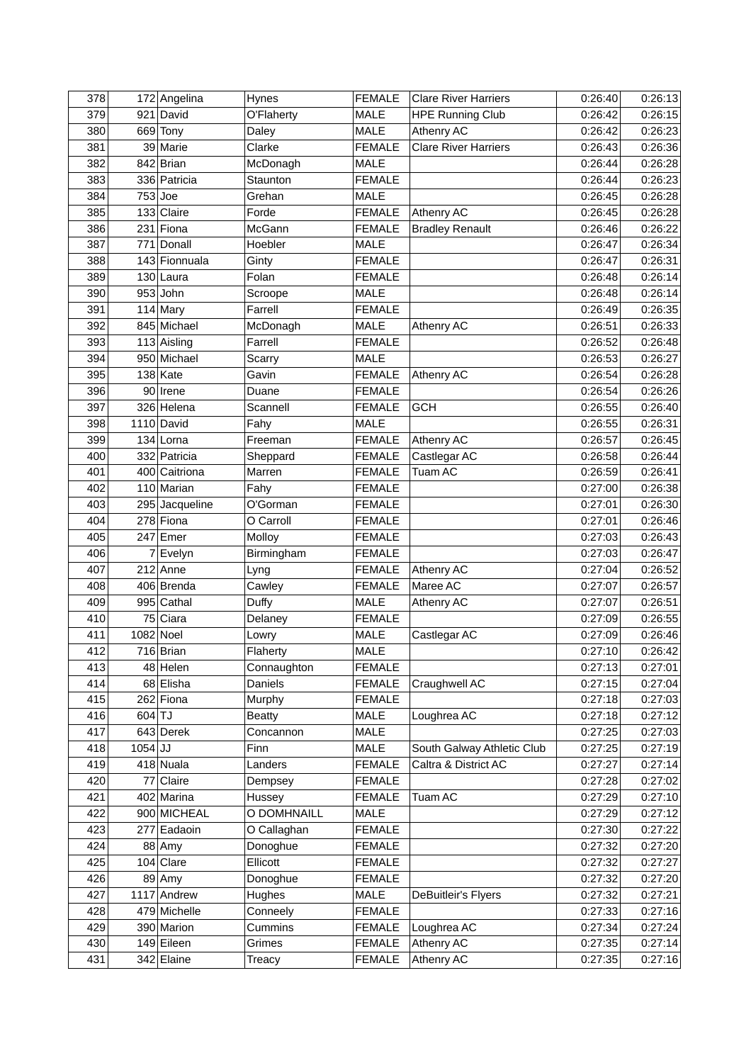| 378 |             | $172$ Angelina | Hynes         | <b>FEMALE</b> | <b>Clare River Harriers</b> | 0:26:40 | 0:26:13 |
|-----|-------------|----------------|---------------|---------------|-----------------------------|---------|---------|
| 379 |             | $921$ David    | O'Flaherty    | <b>MALE</b>   | <b>HPE Running Club</b>     | 0:26:42 | 0:26:15 |
| 380 |             | $669$ Tony     | Daley         | <b>MALE</b>   | Athenry AC                  | 0:26:42 | 0:26:23 |
| 381 |             | 39 Marie       | Clarke        | <b>FEMALE</b> | <b>Clare River Harriers</b> | 0:26:43 | 0:26:36 |
| 382 |             | 842 Brian      | McDonagh      | <b>MALE</b>   |                             | 0:26:44 | 0:26:28 |
| 383 |             | 336 Patricia   | Staunton      | <b>FEMALE</b> |                             | 0:26:44 | 0:26:23 |
| 384 |             | $753$ Joe      | Grehan        | <b>MALE</b>   |                             | 0:26:45 | 0:26:28 |
| 385 |             | 133 Claire     | Forde         | <b>FEMALE</b> | Athenry AC                  | 0:26:45 | 0:26:28 |
| 386 |             | $231$ Fiona    | McGann        | <b>FEMALE</b> | <b>Bradley Renault</b>      | 0:26:46 | 0:26:22 |
| 387 |             | 771 Donall     | Hoebler       | <b>MALE</b>   |                             | 0:26:47 | 0:26:34 |
| 388 |             | 143 Fionnuala  | Ginty         | <b>FEMALE</b> |                             | 0:26:47 | 0:26:31 |
| 389 |             | $130$ Laura    | Folan         | <b>FEMALE</b> |                             | 0:26:48 | 0:26:14 |
| 390 |             | $953$ John     | Scroope       | <b>MALE</b>   |                             | 0:26:48 | 0:26:14 |
| 391 |             | $114$ Mary     | Farrell       | <b>FEMALE</b> |                             | 0:26:49 | 0:26:35 |
| 392 |             | 845 Michael    | McDonagh      | <b>MALE</b>   | Athenry AC                  | 0:26:51 | 0:26:33 |
| 393 |             | 113 Aisling    | Farrell       | <b>FEMALE</b> |                             | 0:26:52 | 0:26:48 |
| 394 |             | 950 Michael    | Scarry        | <b>MALE</b>   |                             | 0:26:53 | 0:26:27 |
| 395 |             | $138$ Kate     | Gavin         | <b>FEMALE</b> | Athenry AC                  | 0:26:54 | 0:26:28 |
| 396 |             | 90 Irene       | Duane         | <b>FEMALE</b> |                             | 0:26:54 | 0:26:26 |
| 397 |             | 326 Helena     | Scannell      | <b>FEMALE</b> | <b>GCH</b>                  | 0:26:55 | 0:26:40 |
| 398 |             | $1110$ David   | Fahy          | <b>MALE</b>   |                             | 0:26:55 | 0:26:31 |
| 399 |             | $134$ Lorna    | Freeman       | <b>FEMALE</b> | Athenry AC                  | 0:26:57 | 0:26:45 |
| 400 |             | 332 Patricia   | Sheppard      | <b>FEMALE</b> | Castlegar AC                | 0:26:58 | 0:26:44 |
| 401 |             | 400 Caitriona  | Marren        | <b>FEMALE</b> | Tuam AC                     | 0:26:59 | 0:26:41 |
| 402 |             | 110 Marian     | Fahy          | <b>FEMALE</b> |                             | 0:27:00 | 0:26:38 |
| 403 |             | 295 Jacqueline | O'Gorman      | <b>FEMALE</b> |                             | 0:27:01 | 0:26:30 |
| 404 |             | $278$ Fiona    | O Carroll     | <b>FEMALE</b> |                             | 0:27:01 | 0:26:46 |
| 405 |             | $247$ Emer     | Molloy        | <b>FEMALE</b> |                             | 0:27:03 | 0:26:43 |
| 406 |             | $7$ Evelyn     | Birmingham    | <b>FEMALE</b> |                             | 0:27:03 | 0:26:47 |
| 407 |             | $212$ Anne     | Lyng          | <b>FEMALE</b> | Athenry AC                  | 0:27:04 | 0:26:52 |
| 408 |             | 406 Brenda     | Cawley        | <b>FEMALE</b> | Maree AC                    | 0:27:07 | 0:26:57 |
| 409 |             | 995 Cathal     | Duffy         | <b>MALE</b>   | Athenry AC                  | 0:27:07 | 0:26:51 |
| 410 |             | 75 Ciara       | Delaney       | <b>FEMALE</b> |                             | 0:27:09 | 0:26:55 |
| 411 | $1082$ Noel |                | Lowry         | <b>MALE</b>   | Castlegar AC                | 0:27:09 | 0:26:46 |
| 412 |             | 716 Brian      | Flaherty      | <b>MALE</b>   |                             | 0:27:10 | 0:26:42 |
| 413 |             | $48$ Helen     | Connaughton   | <b>FEMALE</b> |                             | 0:27:13 | 0:27:01 |
| 414 |             | 68 Elisha      | Daniels       | <b>FEMALE</b> | Craughwell AC               | 0:27:15 | 0:27:04 |
| 415 |             | 262 Fiona      | Murphy        | <b>FEMALE</b> |                             | 0:27:18 | 0:27:03 |
| 416 | $604$ TJ    |                | <b>Beatty</b> | MALE          | Loughrea AC                 | 0:27:18 | 0:27:12 |
| 417 |             | 643 Derek      | Concannon     | <b>MALE</b>   |                             | 0:27:25 | 0:27:03 |
| 418 | $1054$ JJ   |                | Finn          | MALE          | South Galway Athletic Club  | 0:27:25 | 0:27:19 |
| 419 |             | $418$ Nuala    | Landers       | <b>FEMALE</b> | Caltra & District AC        | 0:27:27 | 0:27:14 |
| 420 |             | 77 Claire      | Dempsey       | <b>FEMALE</b> |                             | 0:27:28 | 0:27:02 |
| 421 |             | 402 Marina     | Hussey        | <b>FEMALE</b> | Tuam AC                     | 0:27:29 | 0:27:10 |
| 422 |             | 900 MICHEAL    | O DOMHNAILL   | MALE          |                             | 0:27:29 | 0:27:12 |
| 423 |             | 277 Eadaoin    | O Callaghan   | <b>FEMALE</b> |                             | 0:27:30 | 0:27:22 |
| 424 |             | 88 Amy         | Donoghue      | <b>FEMALE</b> |                             | 0:27:32 | 0:27:20 |
| 425 |             | $104$ Clare    | Ellicott      | <b>FEMALE</b> |                             | 0:27:32 | 0:27:27 |
| 426 |             | $89$ Amy       | Donoghue      | <b>FEMALE</b> |                             | 0:27:32 | 0:27:20 |
| 427 |             | $1117$ Andrew  | Hughes        | MALE          | DeBuitleir's Flyers         | 0:27:32 | 0:27:21 |
| 428 |             | 479 Michelle   | Conneely      | <b>FEMALE</b> |                             | 0:27:33 | 0:27:16 |
| 429 |             | 390 Marion     | Cummins       | <b>FEMALE</b> | Loughrea AC                 | 0:27:34 | 0:27:24 |
| 430 |             | 149 Eileen     | Grimes        | <b>FEMALE</b> | Athenry AC                  | 0:27:35 | 0:27:14 |
| 431 |             | 342 Elaine     | Treacy        | <b>FEMALE</b> | Athenry AC                  | 0:27:35 | 0:27:16 |
|     |             |                |               |               |                             |         |         |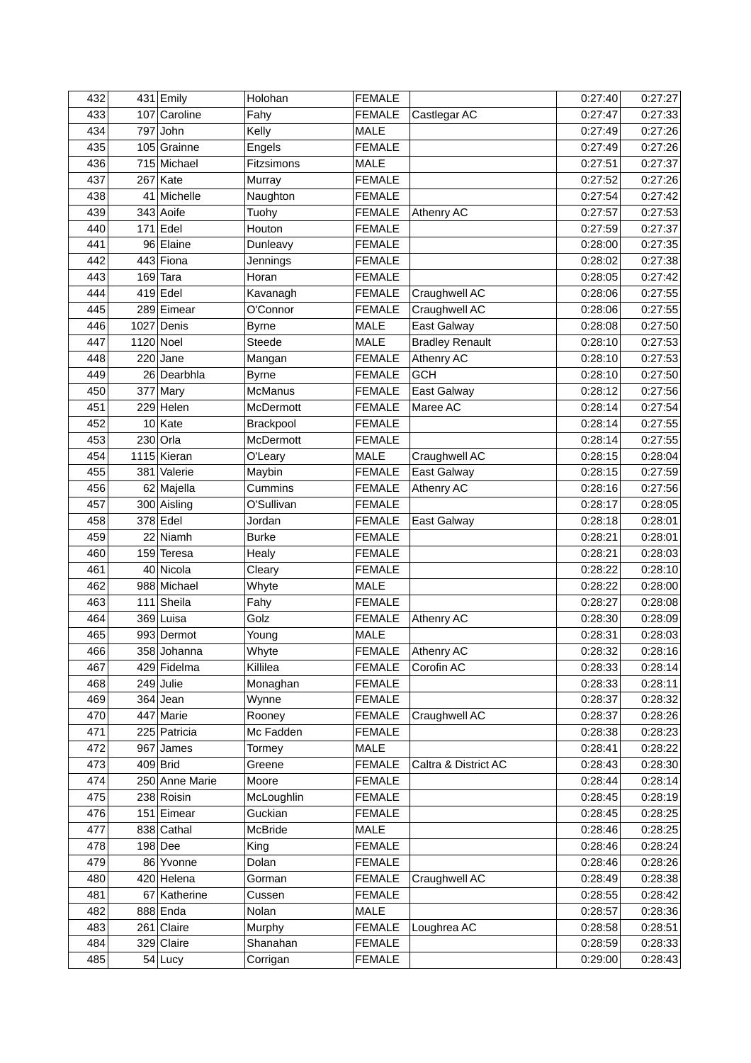| 432 | $431$ Emily    | Holohan          | <b>FEMALE</b> |                        | 0:27:40 | 0:27:27 |
|-----|----------------|------------------|---------------|------------------------|---------|---------|
| 433 | $107$ Caroline | Fahy             | <b>FEMALE</b> | Castlegar AC           | 0:27:47 | 0:27:33 |
| 434 | $797$ John     | Kelly            | <b>MALE</b>   |                        | 0:27:49 | 0:27:26 |
| 435 | 105 Grainne    | Engels           | <b>FEMALE</b> |                        | 0:27:49 | 0:27:26 |
| 436 | 715 Michael    | Fitzsimons       | <b>MALE</b>   |                        | 0:27:51 | 0:27:37 |
| 437 | $267$ Kate     | Murray           | <b>FEMALE</b> |                        | 0:27:52 | 0:27:26 |
| 438 | 41 Michelle    | Naughton         | <b>FEMALE</b> |                        | 0:27:54 | 0:27:42 |
| 439 | 343 Aoife      | Tuohy            | <b>FEMALE</b> | Athenry AC             | 0:27:57 | 0:27:53 |
| 440 | $171$ Edel     | Houton           | <b>FEMALE</b> |                        | 0:27:59 | 0:27:37 |
| 441 | 96 Elaine      | Dunleavy         | <b>FEMALE</b> |                        | 0:28:00 | 0:27:35 |
| 442 | 443 Fiona      | Jennings         | <b>FEMALE</b> |                        | 0:28:02 | 0:27:38 |
| 443 | $169$ Tara     | Horan            | <b>FEMALE</b> |                        | 0:28:05 | 0:27:42 |
| 444 | $419$ Edel     | Kavanagh         | <b>FEMALE</b> | Craughwell AC          | 0:28:06 | 0:27:55 |
| 445 | 289 Eimear     | O'Connor         | <b>FEMALE</b> | Craughwell AC          | 0:28:06 | 0:27:55 |
| 446 | $1027$ Denis   | <b>Byrne</b>     | <b>MALE</b>   | East Galway            | 0:28:08 | 0:27:50 |
| 447 | $1120$ Noel    | Steede           | <b>MALE</b>   | <b>Bradley Renault</b> | 0:28:10 | 0:27:53 |
| 448 | $220$ Jane     | Mangan           | <b>FEMALE</b> | Athenry AC             | 0:28:10 | 0:27:53 |
| 449 | 26 Dearbhla    | <b>Byrne</b>     | <b>FEMALE</b> | <b>GCH</b>             | 0:28:10 | 0:27:50 |
| 450 | $377$ Mary     | McManus          | <b>FEMALE</b> | East Galway            | 0:28:12 | 0:27:56 |
| 451 | $229$ Helen    | McDermott        | <b>FEMALE</b> | Maree AC               | 0:28:14 | 0:27:54 |
| 452 | $10$ Kate      |                  |               |                        | 0:28:14 | 0:27:55 |
|     |                | Brackpool        | <b>FEMALE</b> |                        |         |         |
| 453 | $230$ Orla     | <b>McDermott</b> | <b>FEMALE</b> |                        | 0:28:14 | 0:27:55 |
| 454 | 1115 Kieran    | O'Leary          | <b>MALE</b>   | Craughwell AC          | 0:28:15 | 0:28:04 |
| 455 | 381 Valerie    | Maybin           | <b>FEMALE</b> | East Galway            | 0:28:15 | 0:27:59 |
| 456 | 62 Majella     | Cummins          | <b>FEMALE</b> | Athenry AC             | 0:28:16 | 0:27:56 |
| 457 | 300 Aisling    | O'Sullivan       | <b>FEMALE</b> |                        | 0:28:17 | 0:28:05 |
| 458 | $378$ Edel     | Jordan           | <b>FEMALE</b> | East Galway            | 0:28:18 | 0:28:01 |
| 459 | 22 Niamh       | <b>Burke</b>     | <b>FEMALE</b> |                        | 0:28:21 | 0:28:01 |
| 460 | 159 Teresa     | Healy            | <b>FEMALE</b> |                        | 0:28:21 | 0:28:03 |
| 461 | 40 Nicola      | Cleary           | <b>FEMALE</b> |                        | 0:28:22 | 0:28:10 |
| 462 | 988 Michael    | Whyte            | <b>MALE</b>   |                        | 0:28:22 | 0:28:00 |
| 463 | $111$ Sheila   | Fahy             | <b>FEMALE</b> |                        | 0:28:27 | 0:28:08 |
| 464 | 369 Luisa      | Golz             | <b>FEMALE</b> | <b>Athenry AC</b>      | 0:28:30 | 0:28:09 |
| 465 | 993 Dermot     | Young            | <b>MALE</b>   |                        | 0:28:31 | 0:28:03 |
| 466 | 358 Johanna    | Whyte            | <b>FEMALE</b> | <b>Athenry AC</b>      | 0:28:32 | 0:28:16 |
| 467 | 429 Fidelma    | Killilea         | <b>FEMALE</b> | Corofin AC             | 0:28:33 | 0:28:14 |
| 468 | $249$ Julie    | Monaghan         | <b>FEMALE</b> |                        | 0:28:33 | 0:28:11 |
| 469 | $364$ Jean     | Wynne            | <b>FEMALE</b> |                        | 0:28:37 | 0:28:32 |
| 470 | 447 Marie      | Rooney           | <b>FEMALE</b> | Craughwell AC          | 0:28:37 | 0:28:26 |
| 471 | 225 Patricia   | Mc Fadden        | <b>FEMALE</b> |                        | 0:28:38 | 0:28:23 |
| 472 | 967 James      | Tormey           | MALE          |                        | 0:28:41 | 0:28:22 |
| 473 | $409$ Brid     | Greene           | <b>FEMALE</b> | Caltra & District AC   | 0:28:43 | 0:28:30 |
| 474 | 250 Anne Marie | Moore            | <b>FEMALE</b> |                        | 0:28:44 | 0:28:14 |
| 475 | 238 Roisin     | McLoughlin       | <b>FEMALE</b> |                        | 0:28:45 | 0:28:19 |
| 476 | 151 Eimear     | Guckian          | <b>FEMALE</b> |                        | 0:28:45 | 0:28:25 |
| 477 | 838 Cathal     | McBride          | MALE          |                        | 0:28:46 | 0:28:25 |
| 478 | $198$ Dee      | King             | <b>FEMALE</b> |                        | 0:28:46 | 0:28:24 |
| 479 | 86 Yvonne      | Dolan            | <b>FEMALE</b> |                        | 0:28:46 | 0:28:26 |
| 480 | 420 Helena     | Gorman           | <b>FEMALE</b> | Craughwell AC          | 0:28:49 | 0:28:38 |
| 481 | 67 Katherine   | Cussen           | <b>FEMALE</b> |                        | 0:28:55 | 0:28:42 |
| 482 | $888$ Enda     | Nolan            | MALE          |                        | 0:28:57 | 0:28:36 |
| 483 | $261$ Claire   | Murphy           | <b>FEMALE</b> | Loughrea AC            | 0:28:58 | 0:28:51 |
| 484 | 329 Claire     | Shanahan         | <b>FEMALE</b> |                        | 0:28:59 | 0:28:33 |
| 485 | $54$ Lucy      | Corrigan         | <b>FEMALE</b> |                        | 0:29:00 | 0:28:43 |
|     |                |                  |               |                        |         |         |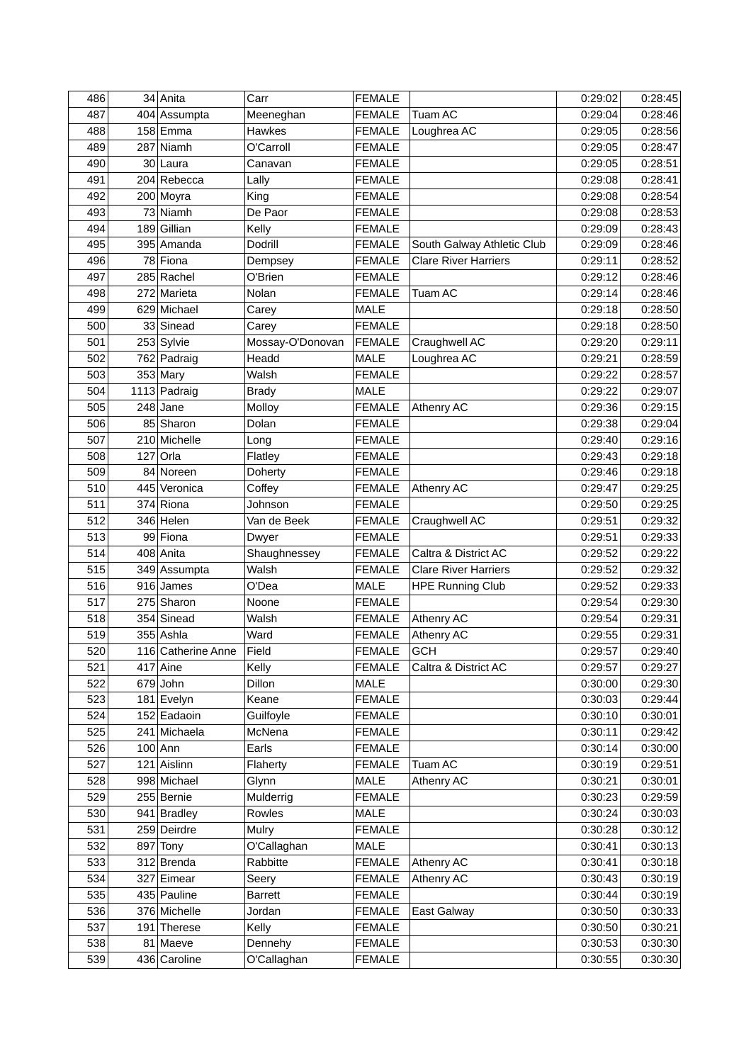| 486 |     | 34 Anita           | Carr             | <b>FEMALE</b> |                             | 0:29:02 | 0:28:45            |
|-----|-----|--------------------|------------------|---------------|-----------------------------|---------|--------------------|
| 487 |     | 404 Assumpta       | Meeneghan        | <b>FEMALE</b> | <b>Tuam AC</b>              | 0:29:04 | 0:28:46            |
| 488 |     | $158$ Emma         | <b>Hawkes</b>    | <b>FEMALE</b> | Loughrea AC                 | 0:29:05 | 0:28:56            |
| 489 |     | 287 Niamh          | O'Carroll        | <b>FEMALE</b> |                             | 0:29:05 | 0:28:47            |
| 490 |     | 30 Laura           | Canavan          | <b>FEMALE</b> |                             | 0:29:05 | 0:28:51            |
| 491 |     | 204 Rebecca        | Lally            | <b>FEMALE</b> |                             | 0:29:08 | 0:28:41            |
| 492 |     | 200 Moyra          | King             | <b>FEMALE</b> |                             | 0:29:08 | 0:28:54            |
| 493 |     | 73 Niamh           | De Paor          | <b>FEMALE</b> |                             | 0:29:08 | 0:28:53            |
| 494 |     | 189 Gillian        | Kelly            | <b>FEMALE</b> |                             | 0:29:09 | 0:28:43            |
| 495 |     | 395 Amanda         | Dodrill          | <b>FEMALE</b> | South Galway Athletic Club  | 0:29:09 | 0:28:46            |
| 496 |     | 78 Fiona           | Dempsey          | <b>FEMALE</b> | <b>Clare River Harriers</b> | 0:29:11 | 0:28:52            |
| 497 |     | 285 Rachel         | O'Brien          | <b>FEMALE</b> |                             | 0:29:12 | 0:28:46            |
| 498 |     | 272 Marieta        | Nolan            | <b>FEMALE</b> | <b>Tuam AC</b>              | 0:29:14 | 0:28:46            |
| 499 |     | 629 Michael        | Carey            | <b>MALE</b>   |                             | 0:29:18 | 0:28:50            |
| 500 |     | 33 Sinead          | Carey            | <b>FEMALE</b> |                             | 0:29:18 | 0:28:50            |
| 501 |     | 253 Sylvie         | Mossay-O'Donovan | <b>FEMALE</b> | Craughwell AC               | 0:29:20 | 0:29:11            |
| 502 |     | 762 Padraig        | Headd            | <b>MALE</b>   | Loughrea AC                 | 0:29:21 | 0:28:59            |
| 503 |     | $353$ Mary         | Walsh            | <b>FEMALE</b> |                             | 0:29:22 | 0:28:57            |
| 504 |     | 1113 Padraig       | <b>Brady</b>     | <b>MALE</b>   |                             | 0:29:22 | 0:29:07            |
| 505 |     | $248$ Jane         | Molloy           | <b>FEMALE</b> | <b>Athenry AC</b>           | 0:29:36 | 0:29:15            |
| 506 |     | 85 Sharon          | Dolan            | <b>FEMALE</b> |                             | 0:29:38 | 0:29:04            |
| 507 |     | 210 Michelle       |                  |               |                             |         |                    |
|     |     |                    | Long             | <b>FEMALE</b> |                             | 0:29:40 | 0:29:16<br>0:29:18 |
| 508 | 127 | Orla               | Flatley          | <b>FEMALE</b> |                             | 0:29:43 |                    |
| 509 |     | 84 Noreen          | Doherty          | <b>FEMALE</b> |                             | 0:29:46 | 0:29:18            |
| 510 |     | 445 Veronica       | Coffey           | <b>FEMALE</b> | Athenry AC                  | 0:29:47 | 0:29:25            |
| 511 |     | $374$ Riona        | Johnson          | <b>FEMALE</b> |                             | 0:29:50 | 0:29:25            |
| 512 |     | 346 Helen          | Van de Beek      | <b>FEMALE</b> | Craughwell AC               | 0:29:51 | 0:29:32            |
| 513 |     | 99 Fiona           | Dwyer            | <b>FEMALE</b> |                             | 0:29:51 | 0:29:33            |
| 514 |     | 408 Anita          | Shaughnessey     | <b>FEMALE</b> | Caltra & District AC        | 0:29:52 | 0:29:22            |
| 515 |     | 349 Assumpta       | Walsh            | <b>FEMALE</b> | <b>Clare River Harriers</b> | 0:29:52 | 0:29:32            |
| 516 |     | $916$ James        | O'Dea            | <b>MALE</b>   | <b>HPE Running Club</b>     | 0:29:52 | 0:29:33            |
| 517 |     | 275 Sharon         | Noone            | <b>FEMALE</b> |                             | 0:29:54 | 0:29:30            |
| 518 |     | 354 Sinead         | Walsh            | <b>FEMALE</b> | <b>Athenry AC</b>           | 0:29:54 | 0:29:31            |
| 519 |     | 355 Ashla          | Ward             | <b>FEMALE</b> | Athenry AC                  | 0:29:55 | 0:29:31            |
| 520 |     | 116 Catherine Anne | Field            | <b>FEMALE</b> | <b>GCH</b>                  | 0:29:57 | 0:29:40            |
| 521 |     | $417$ Aine         | Kelly            | <b>FEMALE</b> | Caltra & District AC        | 0:29:57 | 0:29:27            |
| 522 |     | $679$ John         | Dillon           | <b>MALE</b>   |                             | 0:30:00 | 0:29:30            |
| 523 |     | $181$ Evelyn       | Keane            | <b>FEMALE</b> |                             | 0:30:03 | 0:29:44            |
| 524 |     | 152 Eadaoin        | Guilfoyle        | <b>FEMALE</b> |                             | 0:30:10 | 0:30:01            |
| 525 |     | 241 Michaela       | McNena           | <b>FEMALE</b> |                             | 0:30:11 | 0:29:42            |
| 526 |     | $100$ Ann          | Earls            | <b>FEMALE</b> |                             | 0:30:14 | 0:30:00            |
| 527 |     | 121 Aislinn        | Flaherty         | <b>FEMALE</b> | Tuam AC                     | 0:30:19 | 0:29:51            |
| 528 |     | 998 Michael        | Glynn            | MALE          | Athenry AC                  | 0:30:21 | 0:30:01            |
| 529 |     | 255 Bernie         | Mulderrig        | <b>FEMALE</b> |                             | 0:30:23 | 0:29:59            |
| 530 |     | 941 Bradley        | Rowles           | MALE          |                             | 0:30:24 | 0:30:03            |
| 531 |     | 259 Deirdre        | Mulry            | <b>FEMALE</b> |                             | 0:30:28 | 0:30:12            |
| 532 |     | 897 Tony           | O'Callaghan      | MALE          |                             | 0:30:41 | 0:30:13            |
| 533 |     | $312$ Brenda       | Rabbitte         | <b>FEMALE</b> | <b>Athenry AC</b>           | 0:30:41 | 0:30:18            |
| 534 |     | 327 Eimear         | Seery            | <b>FEMALE</b> | Athenry AC                  | 0:30:43 | 0:30:19            |
| 535 |     | 435 Pauline        | <b>Barrett</b>   | <b>FEMALE</b> |                             | 0:30:44 | 0:30:19            |
| 536 |     | 376 Michelle       | Jordan           | <b>FEMALE</b> | East Galway                 | 0:30:50 | 0:30:33            |
| 537 |     | 191 Therese        | Kelly            | <b>FEMALE</b> |                             | 0:30:50 | 0:30:21            |
| 538 |     | 81 Maeve           | Dennehy          | <b>FEMALE</b> |                             | 0:30:53 | 0:30:30            |
| 539 |     | 436 Caroline       | O'Callaghan      | <b>FEMALE</b> |                             | 0:30:55 | 0:30:30            |
|     |     |                    |                  |               |                             |         |                    |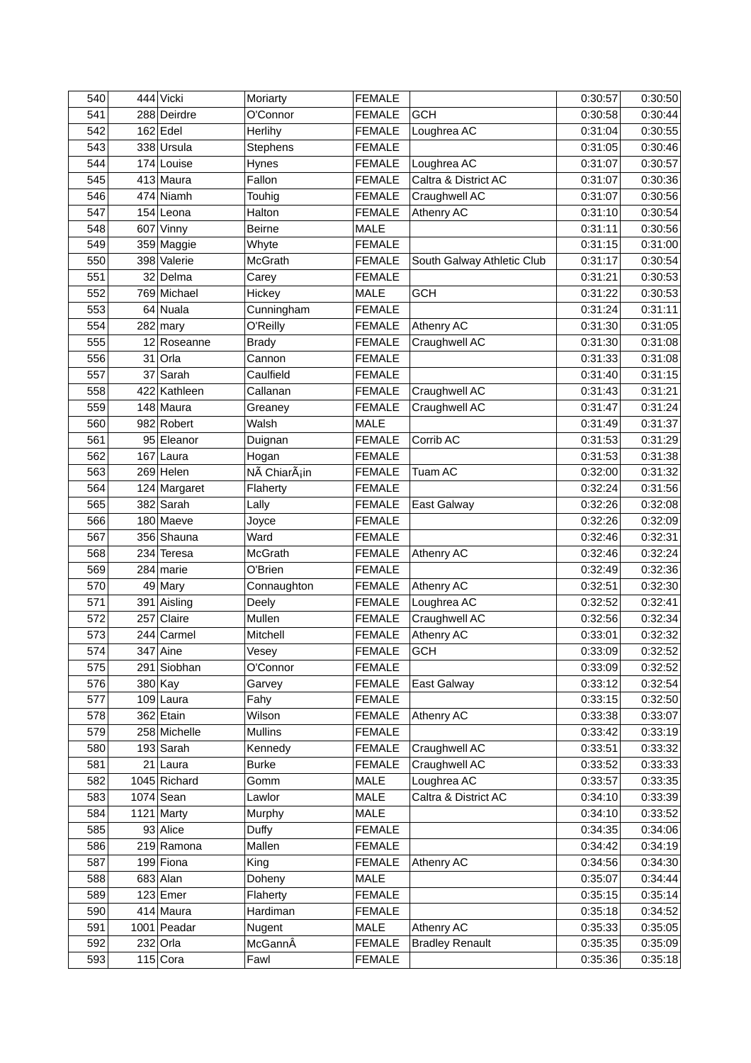| 540 | 444 Vicki      | Moriarty                           | <b>FEMALE</b>                  |                            | 0:30:57            | 0:30:50            |
|-----|----------------|------------------------------------|--------------------------------|----------------------------|--------------------|--------------------|
| 541 | 288 Deirdre    | O'Connor                           | <b>FEMALE</b>                  | <b>GCH</b>                 | 0:30:58            | 0:30:44            |
| 542 | $162$ Edel     | Herlihy                            | <b>FEMALE</b>                  | Loughrea AC                | 0:31:04            | 0:30:55            |
| 543 | 338 Ursula     | Stephens                           | <b>FEMALE</b>                  |                            | 0:31:05            | 0:30:46            |
| 544 | 174 Louise     | Hynes                              | <b>FEMALE</b>                  | Loughrea AC                | 0:31:07            | 0:30:57            |
| 545 | $413$ Maura    | Fallon                             | <b>FEMALE</b>                  | Caltra & District AC       | 0:31:07            | 0:30:36            |
| 546 | 474 Niamh      | Touhig                             | <b>FEMALE</b>                  | Craughwell AC              | 0:31:07            | 0:30:56            |
| 547 | $154$ Leona    | Halton                             | <b>FEMALE</b>                  | Athenry AC                 | 0:31:10            | 0:30:54            |
| 548 | $607$ Vinny    | <b>Beirne</b>                      | <b>MALE</b>                    |                            | 0:31:11            | 0:30:56            |
| 549 | 359 Maggie     | Whyte                              | <b>FEMALE</b>                  |                            | 0:31:15            | 0:31:00            |
| 550 | 398 Valerie    | <b>McGrath</b>                     | <b>FEMALE</b>                  | South Galway Athletic Club | 0:31:17            | 0:30:54            |
| 551 | 32 Delma       | Carey                              | <b>FEMALE</b>                  |                            | 0:31:21            | 0:30:53            |
| 552 | 769 Michael    | Hickey                             | <b>MALE</b>                    | <b>GCH</b>                 | 0:31:22            | 0:30:53            |
| 553 | $64$ Nuala     | Cunningham                         | <b>FEMALE</b>                  |                            | 0:31:24            | 0:31:11            |
| 554 | $282$ mary     | O'Reilly                           | <b>FEMALE</b>                  | <b>Athenry AC</b>          | 0:31:30            | 0:31:05            |
| 555 | 12 Roseanne    | <b>Brady</b>                       | <b>FEMALE</b>                  | Craughwell AC              | 0:31:30            | 0:31:08            |
| 556 | $31$ Orla      | Cannon                             | <b>FEMALE</b>                  |                            | 0:31:33            | 0:31:08            |
| 557 | $37$ Sarah     | Caulfield                          | <b>FEMALE</b>                  |                            | 0:31:40            | 0:31:15            |
| 558 | 422 Kathleen   | Callanan                           | <b>FEMALE</b>                  | Craughwell AC              | 0:31:43            | 0:31:21            |
| 559 | $148$ Maura    | Greaney                            | <b>FEMALE</b>                  | Craughwell AC              | 0:31:47            | 0:31:24            |
| 560 | 982 Robert     | Walsh                              | <b>MALE</b>                    |                            | 0:31:49            | 0:31:37            |
| 561 | 95 Eleanor     |                                    |                                | Corrib AC                  |                    | 0:31:29            |
| 562 | $167$ Laura    | Duignan                            | <b>FEMALE</b><br><b>FEMALE</b> |                            | 0:31:53<br>0:31:53 |                    |
| 563 | $269$ Helen    | Hogan<br>NÃ ChiarÃ <sub>i</sub> in | <b>FEMALE</b>                  | Tuam AC                    | 0:32:00            | 0:31:38<br>0:31:32 |
|     |                |                                    |                                |                            |                    |                    |
| 564 | $124$ Margaret | Flaherty                           | <b>FEMALE</b>                  |                            | 0:32:24            | 0:31:56            |
| 565 | 382 Sarah      | Lally                              | <b>FEMALE</b>                  | East Galway                | 0:32:26            | 0:32:08            |
| 566 | 180 Maeve      | Joyce                              | <b>FEMALE</b>                  |                            | 0:32:26            | 0:32:09            |
| 567 | 356 Shauna     | Ward                               | <b>FEMALE</b>                  |                            | 0:32:46            | 0:32:31            |
| 568 | 234 Teresa     | <b>McGrath</b>                     | <b>FEMALE</b>                  | Athenry AC                 | 0:32:46            | 0:32:24            |
| 569 | $284$ marie    | O'Brien                            | <b>FEMALE</b>                  |                            | 0:32:49            | 0:32:36            |
| 570 | 49 Mary        | Connaughton                        | <b>FEMALE</b>                  | <b>Athenry AC</b>          | 0:32:51            | 0:32:30            |
| 571 | 391 Aisling    | Deely                              | <b>FEMALE</b>                  | Loughrea AC                | 0:32:52            | 0:32:41            |
| 572 | 257 Claire     | Mullen                             | <b>FEMALE</b>                  | Craughwell AC              | 0:32:56            | 0:32:34            |
| 573 | 244 Carmel     | Mitchell                           | <b>FEMALE</b>                  | Athenry AC                 | 0:33:01            | 0:32:32            |
| 574 | $347$ Aine     | Vesey                              | <b>FEMALE</b>                  | <b>GCH</b>                 | 0:33:09            | 0:32:52            |
| 575 | 291 Siobhan    | O'Connor                           | <b>FEMALE</b>                  |                            | 0:33:09            | 0:32:52            |
| 576 | 380 Kay        | Garvey                             | FEMALE                         | East Galway                | 0:33:12            | 0:32:54            |
| 577 | $109$ Laura    | Fahy                               | <b>FEMALE</b>                  |                            | 0:33:15            | 0:32:50            |
| 578 | 362 Etain      | Wilson                             | FEMALE                         | Athenry AC                 | 0:33:38            | 0:33:07            |
| 579 | 258 Michelle   | <b>Mullins</b>                     | <b>FEMALE</b>                  |                            | 0:33:42            | 0:33:19            |
| 580 | $193$ Sarah    | Kennedy                            | <b>FEMALE</b>                  | Craughwell AC              | 0:33:51            | 0:33:32            |
| 581 | $21$  Laura    | <b>Burke</b>                       | <b>FEMALE</b>                  | Craughwell AC              | 0:33:52            | 0:33:33            |
| 582 | 1045 Richard   | Gomm                               | MALE                           | Loughrea AC                | 0:33:57            | 0:33:35            |
| 583 | $1074$ Sean    | Lawlor                             | MALE                           | Caltra & District AC       | 0:34:10            | 0:33:39            |
| 584 | $1121$ Marty   | Murphy                             | <b>MALE</b>                    |                            | 0:34:10            | 0:33:52            |
| 585 | $93$ Alice     | Duffy                              | <b>FEMALE</b>                  |                            | 0:34:35            | 0:34:06            |
| 586 | 219 Ramona     | Mallen                             | <b>FEMALE</b>                  |                            | 0:34:42            | 0:34:19            |
| 587 | 199 Fiona      | King                               | <b>FEMALE</b>                  | Athenry AC                 | 0:34:56            | 0:34:30            |
| 588 | $683$ Alan     | Doheny                             | MALE                           |                            | 0:35:07            | 0:34:44            |
| 589 | $123$ Emer     | Flaherty                           | <b>FEMALE</b>                  |                            | 0:35:15            | 0:35:14            |
| 590 | $414$ Maura    | Hardiman                           | <b>FEMALE</b>                  |                            | 0:35:18            | 0:34:52            |
| 591 | $1001$ Peadar  | Nugent                             | MALE                           | Athenry AC                 | 0:35:33            | 0:35:05            |
| 592 | $232$ Orla     | McGannÂ                            | <b>FEMALE</b>                  | <b>Bradley Renault</b>     | 0:35:35            | 0:35:09            |
| 593 | $115$ Cora     | Fawl                               | <b>FEMALE</b>                  |                            | 0:35:36            | 0:35:18            |
|     |                |                                    |                                |                            |                    |                    |